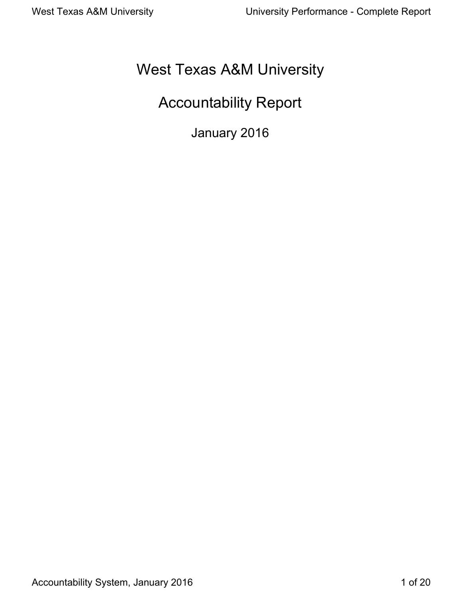# West Texas A&M University

# Accountability Report

January 2016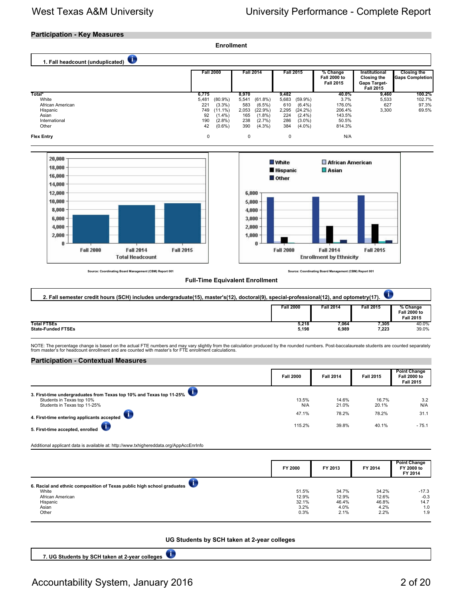### **Participation - Key Measures**



**UG Students by SCH taken at 2-year colleges** 

 $\sqrt{1}$ **7. UG Students by SCH taken at 2-year colleges**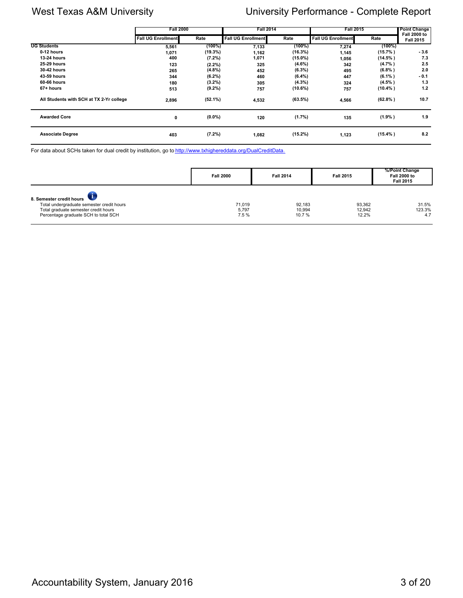|                                          | <b>Fall 2000</b>          |           | <b>Fall 2014</b>          |            | <b>Fall 2015</b>          |            | Point Change                            |
|------------------------------------------|---------------------------|-----------|---------------------------|------------|---------------------------|------------|-----------------------------------------|
|                                          | <b>Fall UG Enrollment</b> | Rate      | <b>Fall UG Enrollment</b> | Rate       | <b>Fall UG Enrollment</b> | Rate       | <b>Fall 2000 to</b><br><b>Fall 2015</b> |
| <b>UG Students</b>                       | 5,561                     | (100%)    | 7,133                     | (100%)     | 7,274                     | $(100\%)$  |                                         |
| 0-12 hours                               | 1,071                     | (19.3%)   | 1,162                     | (16.3%)    | 1,145                     | $(15.7\%)$ | $-3.6$                                  |
| <b>13-24 hours</b>                       | 400                       | $(7.2\%)$ | 1,071                     | $(15.0\%)$ | 1,056                     | $(14.5\%)$ | 7.3                                     |
| <b>25 29 hours</b>                       | 123                       | $(2.2\%)$ | 325                       | $(4.6\%)$  | 342                       | (4.7%      | 2.5                                     |
| 30-42 hours                              | 265                       | (4.8%)    | 452                       | $(6.3\%)$  | 495                       | (6.8% )    | 2.0                                     |
| 43-59 hours                              | 344                       | $(6.2\%)$ | 460                       | $(6.4\%)$  | 447                       | $(6.1\%)$  | $-0.1$                                  |
| 60-66 hours                              | 180                       | $(3.2\%)$ | 305                       | $(4.3\%)$  | 324                       | $(4.5\%)$  | 1.3                                     |
| 67+ hours                                | 513                       | $(9.2\%)$ | 757                       | (10.6%)    | 757                       | $(10.4\%)$ | 1.2                                     |
| All Students with SCH at TX 2-Yr college | 2,896                     | (52.1%)   | 4,532                     | (63.5%)    | 4,566                     | (62.8% )   | 10.7                                    |
| <b>Awarded Core</b>                      | 0                         | $(0.0\%)$ | 120                       | $(1.7\%)$  | 135                       | (1.9% )    | 1.9                                     |
| <b>Associate Degree</b>                  | 403                       | $(7.2\%)$ | 1,082                     | $(15.2\%)$ | 1,123                     | $(15.4\%)$ | 8.2                                     |

For data about SCHs taken for dual credit by institution, go to [http://www.txhighereddata.org/DualCreditData.](http://www.txhighereddata.org/DualCreditData)

|                                                                                                                                                       | <b>Fall 2000</b>        | <b>Fall 2014</b>          | <b>Fall 2015</b>          | %/Point Change<br><b>Fall 2000 to</b><br><b>Fall 2015</b> |
|-------------------------------------------------------------------------------------------------------------------------------------------------------|-------------------------|---------------------------|---------------------------|-----------------------------------------------------------|
| 8. Semester credit hours<br>Total undergraduate semester credit hours<br>Total graduate semester credit hours<br>Percentage graduate SCH to total SCH | 71.019<br>5,797<br>7.5% | 92.183<br>10.994<br>10.7% | 93.362<br>12.942<br>12.2% | 31.5%<br>123.3%<br>4.7                                    |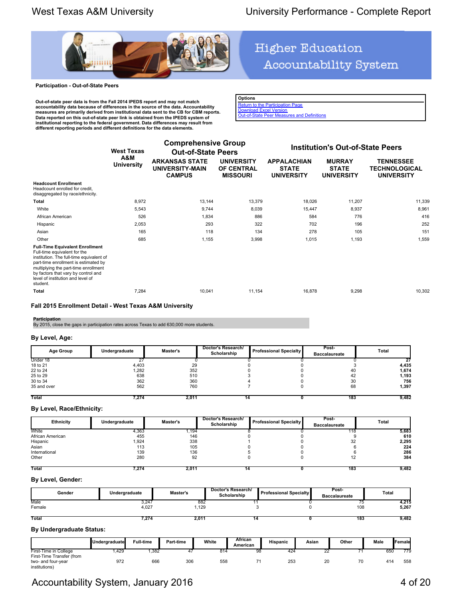

### **Participation - Out-of-State Peers**

**Out-of-state peer data is from the Fall 2014 IPEDS report and may not match accountability data because of differences in the source of the data. Accountability measures are primarily derived from institutional data sent to the CB for CBM reports.** Data reported on this out-of-state peer link is obtained from the IPEDS system of<br>institutional reporting to the federal government. Data differences may result from<br>different reporting periods and different definitions fo

# **Higher Education** Accountability System

**Options** [Return to the Participation Page](http://www.txhighereddata.org/Interactive/Accountability/UNIV_Participation.cfm?FICE=003665) [Download Excel Version](http://www.txhighereddata.org/Interactive/Accountability/UNIV_Participation_Peers.cfm?FICE=003665&Excel=1) **[Out-of-State Peer Measures and Definitions](http://www.txhighereddata.org/Interactive/Accountability/UNIVS_OOSDef.pdf)** 

|                                                                                                                                                                                                                                                                                            | <b>West Texas</b>        | <b>Comprehensive Group</b><br><b>Out-of-State Peers</b>          |                                                           |                                                         | <b>Institution's Out-of-State Peers</b>            |                                                               |
|--------------------------------------------------------------------------------------------------------------------------------------------------------------------------------------------------------------------------------------------------------------------------------------------|--------------------------|------------------------------------------------------------------|-----------------------------------------------------------|---------------------------------------------------------|----------------------------------------------------|---------------------------------------------------------------|
|                                                                                                                                                                                                                                                                                            | A&M<br><b>University</b> | <b>ARKANSAS STATE</b><br><b>UNIVERSITY-MAIN</b><br><b>CAMPUS</b> | <b>UNIVERSITY</b><br><b>OF CENTRAL</b><br><b>MISSOURI</b> | <b>APPALACHIAN</b><br><b>STATE</b><br><b>UNIVERSITY</b> | <b>MURRAY</b><br><b>STATE</b><br><b>UNIVERSITY</b> | <b>TENNESSEE</b><br><b>TECHNOLOGICAL</b><br><b>UNIVERSITY</b> |
| <b>Headcount Enrollment</b><br>Headcount enrolled for credit,<br>disaggregated by race/ethnicity.                                                                                                                                                                                          |                          |                                                                  |                                                           |                                                         |                                                    |                                                               |
| Total                                                                                                                                                                                                                                                                                      | 8,972                    | 13,144                                                           | 13,379                                                    | 18,026                                                  | 11,207                                             | 11,339                                                        |
| White                                                                                                                                                                                                                                                                                      | 5,543                    | 9,744                                                            | 8,039                                                     | 15,447                                                  | 8,937                                              | 8,961                                                         |
| African American                                                                                                                                                                                                                                                                           | 526                      | 1,834                                                            | 886                                                       | 584                                                     | 776                                                | 416                                                           |
| Hispanic                                                                                                                                                                                                                                                                                   | 2,053                    | 293                                                              | 322                                                       | 702                                                     | 196                                                | 252                                                           |
| Asian                                                                                                                                                                                                                                                                                      | 165                      | 118                                                              | 134                                                       | 278                                                     | 105                                                | 151                                                           |
| Other                                                                                                                                                                                                                                                                                      | 685                      | 1,155                                                            | 3,998                                                     | 1,015                                                   | 1,193                                              | 1,559                                                         |
| <b>Full-Time Equivalent Enrollment</b><br>Full-time equivalent for the<br>institution. The full-time equivalent of<br>part-time enrollment is estimated by<br>multiplying the part-time enrollment<br>by factors that vary by control and<br>level of institution and level of<br>student. |                          |                                                                  |                                                           |                                                         |                                                    |                                                               |
| <b>Total</b>                                                                                                                                                                                                                                                                               | 7,284                    | 10,041                                                           | 11,154                                                    | 16,878                                                  | 9,298                                              | 10.302                                                        |

### **Fall 2015 Enrollment Detail - West Texas A&M University**

**Participation**<br>By 2015, close the gaps in participation rates across Texas to add 630,000 more students.

### **By Level, Age:**

| Age Group    | Undergraduate | <b>Master's</b> | Doctor's Research/<br>Scholarship | <b>Professional Specialty</b> | Post-<br><b>Baccalaureate</b> | Total |
|--------------|---------------|-----------------|-----------------------------------|-------------------------------|-------------------------------|-------|
| Under 18     |               |                 |                                   |                               |                               |       |
| 18 to 21     | 4.403         | 29              |                                   |                               |                               | 4,435 |
| 22 to 24     | .282          | 352             |                                   |                               | 40                            | 1,674 |
| 25 to 29     | 638           | 510             |                                   |                               | 42                            | 1,193 |
| 30 to 34     | 362           | 360             |                                   |                               | 30                            | 756   |
| 35 and over  | 562           | 760             |                                   |                               | 68                            | 1,397 |
| <b>Total</b> | 7.274         | 2,011           |                                   |                               | 183                           | 9,482 |

### **By Level, Race/Ethnicity:**

| Ethnicity        | Undergraduate | Master's | Doctor's Research/<br>Scholarship | <b>Professional Specialty</b> | Post-<br><b>Baccalaureate</b> | Total |
|------------------|---------------|----------|-----------------------------------|-------------------------------|-------------------------------|-------|
| White            | 4,363         | ,194     |                                   |                               | 18                            | 5,683 |
| African American | 455           | 146      |                                   |                               |                               | 610   |
| Hispanic         | .924          | 338      |                                   |                               | 32                            | 2,295 |
| Asian            | 113           | 105      |                                   |                               |                               | 224   |
| International    | 139           | 136      |                                   |                               |                               | 286   |
| Other            | 280           | 92       |                                   |                               |                               | 384   |
| Total            | 7.274         | 2,011    |                                   |                               | 183                           | 9,482 |

### **By Level, Gender:**

| Gender         | Undergraduate  | Master's    | Doctor's Research/<br>Scholarship | <b>Professional Specialty</b> | Post-<br><b>Baccalaureate</b> | <b>Total</b>   |
|----------------|----------------|-------------|-----------------------------------|-------------------------------|-------------------------------|----------------|
| Male<br>Female | 3,247<br>4,027 | 882<br>,129 |                                   |                               | 108                           | 4,215<br>5,267 |
| Total          | 7.274          | 2.011       | 14                                |                               | 183                           | 9,482          |

### **By Undergraduate Status:**

|                           | Undergraduate | <b>Full-time</b> | Part-time | White | African<br>American | <b>Hispanic</b> | Asian | Other | Male | <b>IFemalel</b> |
|---------------------------|---------------|------------------|-----------|-------|---------------------|-----------------|-------|-------|------|-----------------|
| First-Time in College     | .429          | .382             |           | 814   | 98                  | 424             | ے     |       | 650  | 779             |
| First-Time Transfer (from |               |                  |           |       |                     |                 |       |       |      |                 |
| two- and four-year        | 972           | 666              | 306       | 558   |                     | 253             | 20    | 70    | 414  | 558             |
| institutions)             |               |                  |           |       |                     |                 |       |       |      |                 |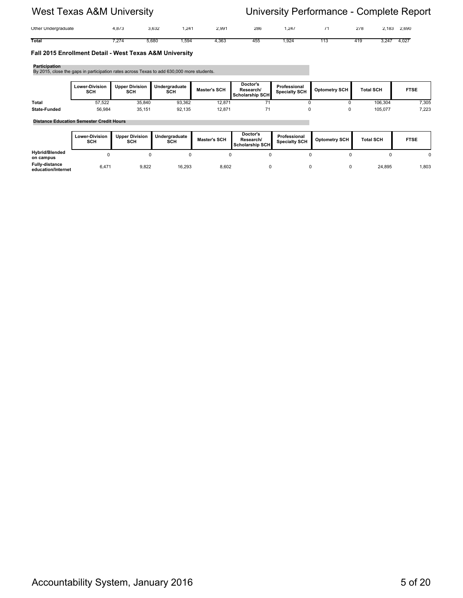| Other Undergraduate | 072<br>$\Omega$ | 3,632 | .241 | 2,991 | 286 | .247 |     | 278 | 2,690<br>.183 |
|---------------------|-----------------|-------|------|-------|-----|------|-----|-----|---------------|
| Total               | $-27a$          | 5,680 | 50/  | 1,363 | 45Ł | .924 | ن ا | 419 | 4,02<br>247   |

### **Fall 2015 Enrollment Detail - West Texas A&M University**

| Participation       | By 2015, close the gaps in participation rates across Texas to add 630,000 more students. |                              |                      |                     |                                          |                                      |                      |                  |             |
|---------------------|-------------------------------------------------------------------------------------------|------------------------------|----------------------|---------------------|------------------------------------------|--------------------------------------|----------------------|------------------|-------------|
|                     | <b>Lower-Division</b><br><b>SCH</b>                                                       | <b>Upper Division</b><br>SCH | Undergraduate<br>SCH | <b>Master's SCH</b> | Doctor's<br>Research/<br>Scholarship SCH | Professional<br><b>Specialty SCH</b> | <b>Optometry SCH</b> | <b>Total SCH</b> | <b>FTSE</b> |
| Total               | 57.522                                                                                    | 35,840                       | 93,362               | 12.871              |                                          | 0                                    |                      | 106.304          | 7,305       |
| <b>State-Funded</b> | 56.984                                                                                    | 35.151                       | 92.135               | 12.871              | 71                                       | 0                                    |                      | 105.077          | 7.223       |

### **Distance Education Semester Credit Hours**

|                                             | <b>Lower-Division</b><br>SCH | <b>Upper Division</b><br>SCH | Undergraduate<br>SCH | <b>Master's SCH</b> | Doctor's<br>Research/<br>Scholarship SCH | Professional<br><b>Specialty SCH</b> | Optometry SCH | <b>Total SCH</b> | <b>FTSE</b> |
|---------------------------------------------|------------------------------|------------------------------|----------------------|---------------------|------------------------------------------|--------------------------------------|---------------|------------------|-------------|
| <b>Hybrid/Blended</b><br>on campus          |                              |                              |                      |                     |                                          |                                      |               |                  |             |
| <b>Fully distance</b><br>education/Internet | 6,471                        | 9,822                        | 16,293               | 8,602               |                                          |                                      |               | 24.895           | 1,803       |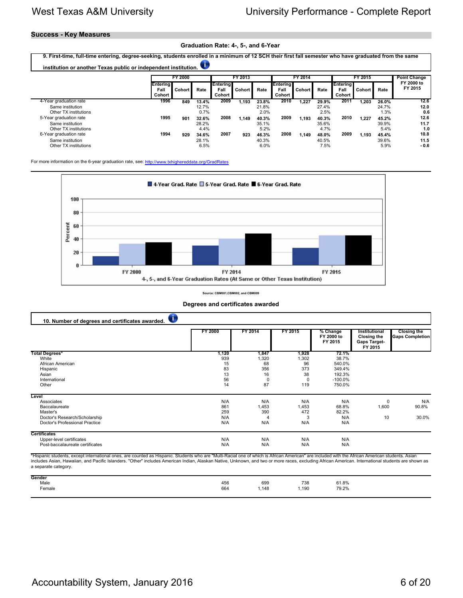## **Success - Key Measures**

### **Graduation Rate: 4-, 5-, and 6-Year**

**9. First-time, full-time entering, degree-seeking, students enrolled in a minimum of 12 SCH their first fall semester who have graduated from the same** O **institution or another Texas public or independent institution. FY 2000 FY 2013 FY 2014 FY 2015 Point Change FY 2000 to Entering Entering Entering Entering FY 2015 Fall Cohort Rate Fall Cohort Rate Fall Cohort Rate Fall Cohort Rate Cohort Cohort Cohort Cohort** 4-Year graduation rate **1996 849 13.4% 2009 1,193 23.8% 2010 1,227 29.9% 2011 1,203 26.0% 12.6** Same institution 12.7% 21.8% 27.4% 24.7% **12.0** Other TX institutions 0.7% 2.0% 2.5% 1.3% **0.6** 5-Year graduation rate **1995 901 32.6% 2008 1,149 40.3% 2009 1,193 40.3% 2010 1,227 45.2% 12.6** Same institution 28.2% 35.1% 35.6% 39.9% **11.7** Other TX institutions **1.4%** 5.2% 4.4% 5.2% 5.2% 5.2% 5.4% 1.0<br>
argraduation rate 1.6 and the structure of the structure of the structure of the structure of the structure of the structure of the structure of the structure 6-Year graduation rate **1994 929 34.6% 2007 923 46.3% 2008 1,149 48.0% 2009 1,193 45.4% 10.8** Same institution 28.1% 40.3% 40.5% 39.6% **11.5** Other TX institutions 6.5% 6.0% 7.5% 5.9% **- 0.6**

For more information on the 6-year graduation rate, see:<http://www.txhighereddata.org/GradRates>



### **Source: CBM001,CBM002, and CBM009**

| 10. Number of degrees and certificates awarded. |         |         |         |                                   |                                                                       |                                              |
|-------------------------------------------------|---------|---------|---------|-----------------------------------|-----------------------------------------------------------------------|----------------------------------------------|
|                                                 | FY 2000 | FY 2014 | FY 2015 | % Change<br>FY 2000 to<br>FY 2015 | Institutional<br><b>Closing the</b><br><b>Gaps Target-</b><br>FY 2015 | <b>Closing the</b><br><b>Gaps Completion</b> |
| <b>Total Degrees*</b>                           | 1,120   | 1,847   | 1,928   | 72.1%                             |                                                                       |                                              |
| White                                           | 939     | 1,320   | 1,302   | 38.7%                             |                                                                       |                                              |
| African American                                | 15      | 68      | 96      | 540.0%                            |                                                                       |                                              |
| Hispanic                                        | 83      | 356     | 373     | 349.4%                            |                                                                       |                                              |
| Asian                                           | 13      | 16      | 38      | 192.3%                            |                                                                       |                                              |
| International                                   | 56      | 0       | 0       | $-100.0%$                         |                                                                       |                                              |
| Other                                           | 14      | 87      | 119     | 750.0%                            |                                                                       |                                              |
| Level                                           |         |         |         |                                   |                                                                       |                                              |
| Associates                                      | N/A     | N/A     | N/A     | N/A                               | $\mathbf 0$                                                           | N/A                                          |
| Baccalaureate                                   | 861     | 1,453   | 1,453   | 68.8%                             | 1,600                                                                 | 90.8%                                        |
| Master's                                        | 259     | 390     | 472     | 82.2%                             |                                                                       |                                              |
| Doctor's Research/Scholarship                   | N/A     | 4       | Э       | N/A                               | 10                                                                    | 30.0%                                        |
| Doctor's Professional Practice                  | N/A     | N/A     | N/A     | N/A                               |                                                                       |                                              |
| <b>Certificates</b>                             |         |         |         |                                   |                                                                       |                                              |
| Upper-level certificates                        | N/A     | N/A     | N/A     | N/A                               |                                                                       |                                              |
| Post-baccalaureate certificates                 | N/A     | N/A     | N/A     | N/A                               |                                                                       |                                              |

**Degrees and certificates awarded**

\*Hispanic students, except international ones, are counted as Hispanic. Students who are "Multi-Racial one of which is African American" are included with the African American students. Asian includes Asian, Hawaiian, and Pacific Islanders. "Other" includes American Indian, Alaskan Native, Unknown, and two or more races, excluding African American. International students are shown as a separate category.

| Gender              |            |                |      |                |
|---------------------|------------|----------------|------|----------------|
|                     |            | 699            | 738  |                |
| Male<br>Female<br>. | 456<br>664 | .148<br>$\sim$ | ,190 | 61.8%<br>79.2% |
|                     |            |                |      |                |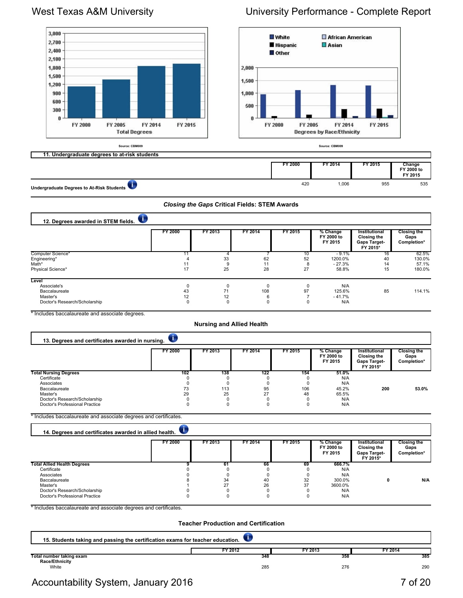### 3,000 **White** African American 2,700 **Hispanic**  $\Box$  Asian 2,400 **Other** 2,100 1,800 2,000 1,500 1,500  $1,200$ 900 1,000 600 500 300 Ü Ű FY 2000 FY 2005 FY 2000 FY 2014 FY 2015 FY 2005 FY 2014 FY 2015 **Total Degrees Degrees by Race/Ethnicity Source: CBM009 Source: CBM009 11. Undergraduate degrees to at-risk students FY 2000 FY 2014 FY 2015 Change FY 2000 to FY 2015** 420 1,006 955 535

**Undergraduate Degrees to At-Risk Students**

### *Closing the Gaps* **Critical Fields: STEM Awards**

| 12. Degrees awarded in STEM fields. |         |         |         |         |                                   |                                                                 |                                           |  |  |  |
|-------------------------------------|---------|---------|---------|---------|-----------------------------------|-----------------------------------------------------------------|-------------------------------------------|--|--|--|
|                                     | FY 2000 | FY 2013 | FY 2014 | FY 2015 | % Change<br>FY 2000 to<br>FY 2015 | Institutional<br>Closing the<br><b>Gaps Target-</b><br>FY 2015* | <b>Closing the</b><br>Gaps<br>Completion* |  |  |  |
| Computer Science*                   |         |         |         | 10      | $-9.1%$                           | 16                                                              | 62.5%                                     |  |  |  |
| Engineering*                        |         | 33      | 62      | 52      | 1200.0%                           | 40                                                              | 130.0%                                    |  |  |  |
| Math*                               |         |         | 11      |         | $-27.3%$                          | 14                                                              | 57.1%                                     |  |  |  |
| Physical Science*                   | 17      | 25      | 28      | 27      | 58.8%                             | 15                                                              | 180.0%                                    |  |  |  |
| Level                               |         |         |         |         |                                   |                                                                 |                                           |  |  |  |
| Associate's                         |         |         | 0       |         | N/A                               |                                                                 |                                           |  |  |  |
| Baccalaureate                       | 43      | 71      | 108     | 97      | 125.6%                            | 85                                                              | 114.1%                                    |  |  |  |
| Master's                            | 12      | 12      | 6       |         | $-41.7%$                          |                                                                 |                                           |  |  |  |
| Doctor's Research/Scholarship       |         |         | 0       | n       | N/A                               |                                                                 |                                           |  |  |  |

\* Includes baccalaureate and associate degrees.

### **Nursing and Allied Health**

| 13. Degrees and certificates awarded in nursing. |                |         |         |         |                                   |                                                                 |                                           |  |  |  |
|--------------------------------------------------|----------------|---------|---------|---------|-----------------------------------|-----------------------------------------------------------------|-------------------------------------------|--|--|--|
|                                                  | <b>FY 2000</b> | FY 2013 | FY 2014 | FY 2015 | % Change<br>FY 2000 to<br>FY 2015 | Institutional<br><b>Closing the</b><br>Gaps Target-<br>FY 2015* | <b>Closing the</b><br>Gaps<br>Completion* |  |  |  |
| <b>Total Nursing Degrees</b>                     | 102            | 138     | 122     | 154     | 51.0%                             |                                                                 |                                           |  |  |  |
| Certificate                                      |                |         |         |         | N/A                               |                                                                 |                                           |  |  |  |
| Associates                                       |                |         |         |         | N/A                               |                                                                 |                                           |  |  |  |
| Baccalaureate                                    |                | 113     | 95      | 106     | 45.2%                             | 200                                                             | 53.0%                                     |  |  |  |
| Master's                                         | 29             | 25      | 27      | 48      | 65.5%                             |                                                                 |                                           |  |  |  |
| Doctor's Research/Scholarship                    |                |         | ŋ       |         | N/A                               |                                                                 |                                           |  |  |  |
| Doctor's Professional Practice                   |                |         | 0       |         | N/A                               |                                                                 |                                           |  |  |  |

\* Includes baccalaureate and associate degrees and certificates.

| 14. Degrees and certificates awarded in allied health. |         |         |         |         |                                   |                                                                 |                                           |
|--------------------------------------------------------|---------|---------|---------|---------|-----------------------------------|-----------------------------------------------------------------|-------------------------------------------|
|                                                        | FY 2000 | FY 2013 | FY 2014 | FY 2015 | % Change<br>FY 2000 to<br>FY 2015 | Institutional<br>Closing the<br><b>Gaps Target-</b><br>FY 2015* | <b>Closing the</b><br>Gaps<br>Completion* |
| <b>Total Allied Health Degrees</b>                     |         | 61      | 66      | 69      | 666.7%                            |                                                                 |                                           |
| Certificate                                            |         |         |         |         | N/A                               |                                                                 |                                           |
| Associates                                             |         |         |         |         | N/A                               |                                                                 |                                           |
| Baccalaureate                                          |         | 34      | 40      | 32      | 300.0%                            |                                                                 | N/A                                       |
| Master's                                               |         | 27      | 26      | 37      | 3600.0%                           |                                                                 |                                           |
| Doctor's Research/Scholarship                          |         |         |         |         | N/A                               |                                                                 |                                           |
| Doctor's Professional Practice                         |         |         |         |         | N/A                               |                                                                 |                                           |

\* Includes baccalaureate and associate degrees and certificates.

### **Teacher Production and Certification**

| 15. Students taking and passing the certification exams for teacher education. |                |                |                |
|--------------------------------------------------------------------------------|----------------|----------------|----------------|
| Total number taking exam                                                       | FY 2012<br>348 | FY 2013<br>358 | TY 2014<br>385 |
| Race/Ethnicity<br>White                                                        | 285            | 276            | 290            |

# West Texas A&M University **No. 2018** University Performance - Complete Report

Accountability System, January 2016 **7** of 20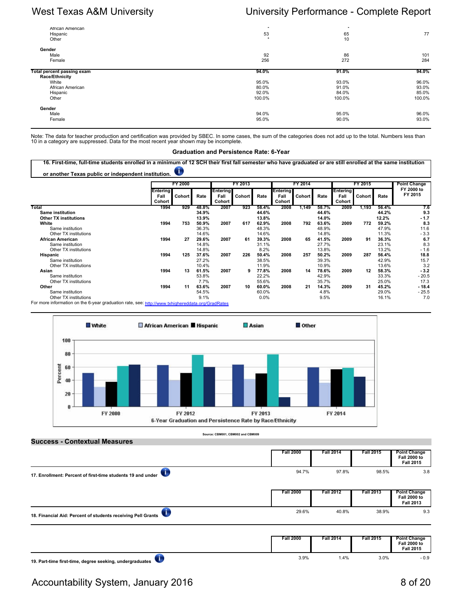| African American<br>Hispanic<br>Other        | $\star$<br>53<br>$\star$ | $\star$<br>65<br>10 | 77     |
|----------------------------------------------|--------------------------|---------------------|--------|
| Gender<br>Male                               | 92                       | 86                  | 101    |
| Female                                       | 256                      | 272                 | 284    |
| Total percent passing exam<br>Race/Ethnicity | 94.0%                    | 91.0%               | 94.0%  |
| White                                        | 95.0%                    | 93.0%               | 96.0%  |
| African American                             | 80.0%                    | 91.0%               | 93.0%  |
| Hispanic                                     | 92.0%                    | 84.0%               | 85.0%  |
| Other                                        | 100.0%                   | 100.0%              | 100.0% |
| Gender                                       |                          |                     |        |
| Male                                         | 94.0%                    | 95.0%               | 96.0%  |
| Female                                       | 95.0%                    | 90.0%               | 93.0%  |

Note: The data for teacher production and certification was provided by SBEC. In some cases, the sum of the categories does not add up to the total. Numbers less than<br>10 in a category are suppressed. Data for the most rece

### **Graduation and Persistence Rate: 6-Year**

**16. First-time, full-time students enrolled in a minimum of 12 SCH their first fall semester who have graduated or are still enrolled at the same institution** U. **or another Texas public or independent institution.** 

|                                                                                                  |                            | FY 2000 |       |                                   | FY 2013       |       |                                   | FY 2014 |       | FY 2015                    |               |       | <b>Point Change</b>   |
|--------------------------------------------------------------------------------------------------|----------------------------|---------|-------|-----------------------------------|---------------|-------|-----------------------------------|---------|-------|----------------------------|---------------|-------|-----------------------|
|                                                                                                  | Entering<br>Fall<br>Cohort | Cohort  | Rate  | <b>Entering</b><br>Fall<br>Cohort | <b>Cohort</b> | Rate  | <b>Entering</b><br>Fall<br>Cohort | Cohort  | Rate  | Entering<br>Fall<br>Cohort | <b>Cohort</b> | Rate  | FY 2000 to<br>FY 2015 |
| Total                                                                                            | 1994                       | 929     | 48.8% | 2007                              | 923           | 58.4% | 2008                              | 1.149   | 58.7% | 2009                       | 1,193         | 56.4% | 7.6                   |
| <b>Same institution</b>                                                                          |                            |         | 34.9% |                                   |               | 44.6% |                                   |         | 44.6% |                            |               | 44.2% | 9.3                   |
| <b>Other TX institutions</b>                                                                     |                            |         | 13.9% |                                   |               | 13.8% |                                   |         | 14.0% |                            |               | 12.2% | $-1.7$                |
| White                                                                                            | 1994                       | 753     | 50.9% | 2007                              | 617           | 62.9% | 2008                              | 792     | 63.6% | 2009                       | 772           | 59.2% | 8.3                   |
| Same institution                                                                                 |                            |         | 36.3% |                                   |               | 48.3% |                                   |         | 48.9% |                            |               | 47.9% | 11.6                  |
| Other TX institutions                                                                            |                            |         | 14.6% |                                   |               | 14.6% |                                   |         | 14.8% |                            |               | 11.3% | $-3.3$                |
| <b>African American</b>                                                                          | 1994                       | 27      | 29.6% | 2007                              | 61            | 39.3% | 2008                              | 65      | 41.5% | 2009                       | 91            | 36.3% | 6.7                   |
| Same institution                                                                                 |                            |         | 14.8% |                                   |               | 31.1% |                                   |         | 27.7% |                            |               | 23.1% | 8.3                   |
| Other TX institutions                                                                            |                            |         | 14.8% |                                   |               | 8.2%  |                                   |         | 13.8% |                            |               | 13.2% | $-1.6$                |
| Hispanic                                                                                         | 1994                       | 125     | 37.6% | 2007                              | 226           | 50.4% | 2008                              | 257     | 50.2% | 2009                       | 287           | 56.4% | 18.8                  |
| Same institution                                                                                 |                            |         | 27.2% |                                   |               | 38.5% |                                   |         | 39.3% |                            |               | 42.9% | 15.7                  |
| Other TX institutions                                                                            |                            |         | 10.4% |                                   |               | 11.9% |                                   |         | 10.9% |                            |               | 13.6% | 3.2                   |
| Asian                                                                                            | 1994                       | 13      | 61.5% | 2007                              | 9             | 77.8% | 2008                              | 14      | 78.6% | 2009                       | 12            | 58.3% | $-3.2$                |
| Same institution                                                                                 |                            |         | 53.8% |                                   |               | 22.2% |                                   |         | 42.9% |                            |               | 33.3% | $-20.5$               |
| Other TX institutions                                                                            |                            |         | 7.7%  |                                   |               | 55.6% |                                   |         | 35.7% |                            |               | 25.0% | 17.3                  |
| Other                                                                                            | 1994                       | 11      | 63.6% | 2007                              | 10            | 60.0% | 2008                              | 21      | 14.3% | 2009                       | 31            | 45.2% | $-18.4$               |
| Same institution                                                                                 |                            |         | 54.5% |                                   |               | 60.0% |                                   |         | 4.8%  |                            |               | 29.0% | $-25.5$               |
| Other TX institutions                                                                            |                            |         | 9.1%  |                                   |               | 0.0%  |                                   |         | 9.5%  |                            |               | 16.1% | 7.0                   |
| For more information on the 6-year graduation rate, see: http://www.tybioboroddata.org/CrodDates |                            |         |       |                                   |               |       |                                   |         |       |                            |               |       |                       |

For more information on the 6-year graduation rate, see:<http://www.txhighereddata.org/GradRates>



| <b>Success - Contextual Measures</b>                         |                  |                  |                  |                                                                |
|--------------------------------------------------------------|------------------|------------------|------------------|----------------------------------------------------------------|
|                                                              | <b>Fall 2000</b> | <b>Fall 2014</b> | <b>Fall 2015</b> | <b>Point Change</b><br><b>Fall 2000 to</b><br><b>Fall 2015</b> |
| 17. Enrollment: Percent of first-time students 19 and under  | 94.7%            | 97.8%            | 98.5%            | 3.8                                                            |
|                                                              | <b>Fall 2000</b> | <b>Fall 2012</b> | <b>Fall 2013</b> | <b>Point Change</b><br><b>Fall 2000 to</b><br><b>Fall 2013</b> |
| 18. Financial Aid: Percent of students receiving Pell Grants | 29.6%            | 40.8%            | 38.9%            | 9.3                                                            |
|                                                              | <b>Fall 2000</b> | <b>Fall 2014</b> | <b>Fall 2015</b> | <b>Point Change</b><br><b>Fall 2000 to</b><br><b>Fall 2015</b> |

 $\bullet$ **19. Part-time first-time, degree seeking, undergraduates** 

# Accountability System, January 2016 8 of 20 and 20 and 20 and 20 and 20 and 20 and 20 and 20 and 20 and 20 and 20 and 20 and 20 and 20 and 20 and 20 and 20 and 20 and 20 and 20 and 20 and 20 and 20 and 20 and 20 and 20 and

<sup>3.9%</sup> 1.4% 3.0% - 0.9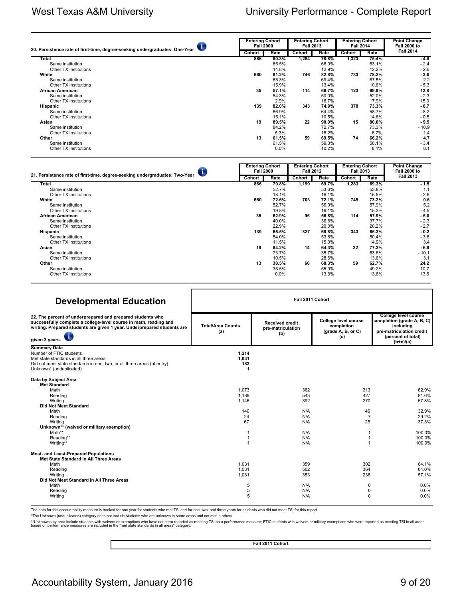| 20. Persistence rate of first-time, degree-seeking undergraduates: One-Year |     | <b>Entering Cohort</b><br><b>Fall 2000</b> |               | <b>Entering Cohort</b><br><b>Fall 2013</b> |               | <b>Entering Cohort</b><br><b>Fall 2014</b> | <b>Point Change</b><br><b>Fall 2000 to</b> |
|-----------------------------------------------------------------------------|-----|--------------------------------------------|---------------|--------------------------------------------|---------------|--------------------------------------------|--------------------------------------------|
|                                                                             |     | Rate                                       | <b>Cohort</b> | Rate                                       | <b>Cohort</b> | Rate                                       | <b>Fall 2014</b>                           |
| Total                                                                       | 866 | 80.3%                                      | 1,284         | 78.8%                                      | 1,323         | 75.4%                                      | $-4.9$                                     |
| Same institution                                                            |     | 65.5%                                      |               | 66.0%                                      |               | 63.1%                                      | $-2.4$                                     |
| Other TX institutions                                                       |     | 14.8%                                      |               | 12.9%                                      |               | 12.2%                                      | $-2.6$                                     |
| White                                                                       | 660 | 81.2%                                      | 746           | 82.8%                                      | 733           | 78.2%                                      | $-3.0$                                     |
| Same institution                                                            |     | 65.3%                                      |               | 69.4%                                      |               | 67.5%                                      | 2.2                                        |
| Other TX institutions                                                       |     | 15.9%                                      |               | 13.4%                                      |               | 10.6%                                      | $-5.3$                                     |
| African American                                                            | 35  | 57.1%                                      | 114           | 66.7%                                      | 123           | 69.9%                                      | 12.8                                       |
| Same institution                                                            |     | 54.3%                                      |               | 50.0%                                      |               | 52.0%                                      | $-2.3$                                     |
| Other TX institutions                                                       |     | 2.9%                                       |               | 16.7%                                      |               | 17.9%                                      | 15.0                                       |
| Hispanic                                                                    | 139 | 82.0%                                      | 343           | 74.9%                                      | 378           | 73.3%                                      | $-8.7$                                     |
| Same institution                                                            |     | 66.9%                                      |               | 64.4%                                      |               | 58.7%                                      | $-8.2$                                     |
| Other TX institutions                                                       |     | 15.1%                                      |               | 10.5%                                      |               | 14.6%                                      | $-0.5$                                     |
| Asian                                                                       | 19  | 89.5%                                      | 22            | 90.9%                                      | 15            | 80.0%                                      | $-9.5$                                     |
| Same institution                                                            |     | 84.2%                                      |               | 72.7%                                      |               | 73.3%                                      | $-10.9$                                    |
| Other TX institutions                                                       |     | 5.3%                                       |               | 18.2%                                      |               | 6.7%                                       | 1.4                                        |
| Other                                                                       | 13  | 61.5%                                      | 59            | 69.5%                                      | 74            | 66.2%                                      | 4.7                                        |
| Same institution                                                            |     | 61.5%                                      |               | 59.3%                                      |               | 58.1%                                      | $-3.4$                                     |
| Other TX institutions                                                       |     | 0.0%                                       |               | 10.2%                                      |               | 8.1%                                       | 8.1                                        |

| 21. Persistence rate of first-time, degree-seeking undergraduates: Two-Year |               | <b>Entering Cohort</b><br><b>Fall 2000</b> |               | <b>Entering Cohort</b><br><b>Fall 2012</b> |        | <b>Entering Cohort</b><br><b>Fall 2013</b> | <b>Point Change</b><br><b>Fall 2000 to</b> |  |
|-----------------------------------------------------------------------------|---------------|--------------------------------------------|---------------|--------------------------------------------|--------|--------------------------------------------|--------------------------------------------|--|
|                                                                             | <b>Cohort</b> | Rate                                       | <b>Cohort</b> | Rate                                       | Cohort | Rate                                       | <b>Fall 2013</b>                           |  |
| Total                                                                       | 866           | 70.8%                                      | 1,199         | 69.7%                                      | 1,283  | 69.3%                                      | $-1.5$                                     |  |
| Same institution                                                            |               | 52.7%                                      |               | 53.6%                                      |        | 53.8%                                      | 1.1                                        |  |
| Other TX institutions                                                       |               | 18.1%                                      |               | 16.1%                                      |        | 15.5%                                      | $-2.6$                                     |  |
| White                                                                       | 660           | 72.6%                                      | 703           | 72.1%                                      | 745    | 73.2%                                      | 0.6                                        |  |
| Same institution                                                            |               | 52.7%                                      |               | 56.0%                                      |        | 57.9%                                      | 5.2                                        |  |
| Other TX institutions                                                       |               | 19.8%                                      |               | 16.1%                                      |        | 15.3%                                      | $-4.5$                                     |  |
| <b>African American</b>                                                     | 35            | 62.9%                                      | 95            | 56.8%                                      | 114    | 57.9%                                      | $-5.0$                                     |  |
| Same institution                                                            |               | 40.0%                                      |               | 36.8%                                      |        | 37.7%                                      | $-2.3$                                     |  |
| Other TX institutions                                                       |               | 22.9%                                      |               | 20.0%                                      |        | 20.2%                                      | $-2.7$                                     |  |
| Hispanic                                                                    | 139           | 65.5%                                      | 327           | 68.8%                                      | 343    | 65.3%                                      | $-0.2$                                     |  |
| Same institution                                                            |               | 54.0%                                      |               | 53.8%                                      |        | 50.4%                                      | $-3.6$                                     |  |
| Other TX institutions                                                       |               | 11.5%                                      |               | 15.0%                                      |        | 14.9%                                      | 3.4                                        |  |
| Asian                                                                       | 19            | 84.2%                                      | 14            | 64.3%                                      | 22     | 77.3%                                      | $-6.9$                                     |  |
| Same institution                                                            |               | 73.7%                                      |               | 35.7%                                      |        | 63.6%                                      | $-10.1$                                    |  |
| Other TX institutions                                                       |               | 10.5%                                      |               | 28.6%                                      |        | 13.6%                                      | 3.1                                        |  |
| Other                                                                       | 13            | 38.5%                                      | 60            | 68.3%                                      | 59     | 62.7%                                      | 24.2                                       |  |
| Same institution                                                            |               | 38.5%                                      |               | 55.0%                                      |        | 49.2%                                      | 10.7                                       |  |
| Other TX institutions                                                       |               | 0.0%                                       |               | 13.3%                                      |        | 13.6%                                      | 13.6                                       |  |

## **Developmental Education**

| Developmental Education                                                                                                                                                                                                                   |                                                              |                                                             |                                                                 |                                                                                                                                  |
|-------------------------------------------------------------------------------------------------------------------------------------------------------------------------------------------------------------------------------------------|--------------------------------------------------------------|-------------------------------------------------------------|-----------------------------------------------------------------|----------------------------------------------------------------------------------------------------------------------------------|
| 22. The percent of underprepared and prepared students who<br>successfully complete a college-level course in math, reading and<br>writing. Prepared students are given 1 year. Underprepared students are<br>$\bullet$<br>given 3 years. | <b>Total/Area Counts</b><br>(a)                              | <b>Received credit</b><br>pre-matriculation<br>(b)          | College level course<br>completion<br>(grade A, B, or C)<br>(c) | College level course<br>completion (grade A, B, C)<br>including<br>pre-matriculation credit<br>(percent of total)<br>$(b+c)/(a)$ |
| <b>Summary Data</b><br>Number of FTIC students<br>Met state standards in all three areas<br>Did not meet state standards in one, two, or all three areas (at entry)<br>Unknown* (unduplicated)                                            | 1.214<br>1,031<br>182                                        |                                                             |                                                                 |                                                                                                                                  |
| Data by Subject Area<br><b>Met Standard</b><br>Math<br>Reading<br>Writing<br><b>Did Not Meet Standard</b><br>Math<br>Reading<br>Writing<br>Unknown** (waived or military exemption)<br>Math**<br>Reading**<br>Writing**                   | 1.073<br>1.189<br>1,146<br>140<br>24<br>67<br>$\overline{1}$ | 362<br>543<br>392<br>N/A<br>N/A<br>N/A<br>N/A<br>N/A<br>N/A | 313<br>427<br>270<br>46<br>$\overline{7}$<br>25                 | 62.9%<br>81.6%<br>57.8%<br>32.9%<br>29.2%<br>37.3%<br>100.0%<br>100.0%<br>100.0%                                                 |
| <b>Most- and Least-Prepared Populations</b><br>Met State Standard in All Three Areas<br>Math<br>Reading<br>Writing<br>Did Not Meet Standard in All Three Areas<br>Math<br>Reading<br>Writing                                              | 1.031<br>1,031<br>1.031<br>5<br>5<br>5                       | 359<br>502<br>353<br>N/A<br>N/A<br>N/A                      | 302<br>364<br>236<br>0<br>0<br>$\Omega$                         | 64.1%<br>84.0%<br>57.1%<br>0.0%<br>0.0%<br>0.0%                                                                                  |

The data for this accountability measure is tracked for one year for students who met TSI and for one, two, and three years for students who did not meet TSI for this report.

\*The Unknown (unduplicated) category does not include students who are unknown in some areas and not met in others.

\*\*Unknowns by area include students with waivers or exemptions who have not been reported as meeting TSI on a performance measure; FTIC students with waivers or military exemptions who were reported as meeting TSI in all a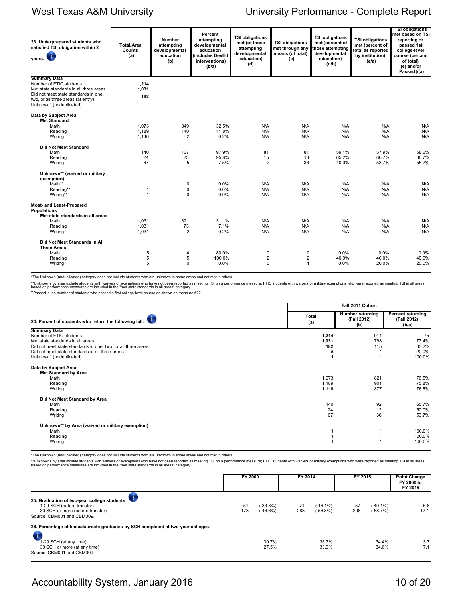| 23. Underprepared students who<br>satisfied TSI obligation within 2<br><b>Jy</b><br>years. | <b>Total/Area</b><br>Counts<br>(a) | <b>Number</b><br>attempting<br>developmental<br>education<br>(b) | Percent<br>attempting<br>developmental<br>education<br>(includes DevEd<br>interventions)<br>(b/a) | <b>TSI obligations</b><br>met (of those<br>attempting<br>developmental<br>education)<br>(d) | <b>TSI obligations</b><br>met through any<br>means (of total)<br>(e) | <b>TSI obligations</b><br>met (percent of<br>those attempting<br>developmental<br>education)<br>(d/b) | <b>TSI obligations</b><br>met (percent of<br>total as reported<br>by institution)<br>(e/a) | <b>TSI obligations</b><br>met based on TSI<br>reporting or<br>passed 1st<br>college-level<br>course (percent<br>of total)<br>(e) and/or<br>Passed†/(a) |
|--------------------------------------------------------------------------------------------|------------------------------------|------------------------------------------------------------------|---------------------------------------------------------------------------------------------------|---------------------------------------------------------------------------------------------|----------------------------------------------------------------------|-------------------------------------------------------------------------------------------------------|--------------------------------------------------------------------------------------------|--------------------------------------------------------------------------------------------------------------------------------------------------------|
| <b>Summary Data</b>                                                                        |                                    |                                                                  |                                                                                                   |                                                                                             |                                                                      |                                                                                                       |                                                                                            |                                                                                                                                                        |
| Number of FTIC students                                                                    | 1.214                              |                                                                  |                                                                                                   |                                                                                             |                                                                      |                                                                                                       |                                                                                            |                                                                                                                                                        |
| Met state standards in all three areas                                                     | 1,031                              |                                                                  |                                                                                                   |                                                                                             |                                                                      |                                                                                                       |                                                                                            |                                                                                                                                                        |
| Did not meet state standards in one,                                                       | 182                                |                                                                  |                                                                                                   |                                                                                             |                                                                      |                                                                                                       |                                                                                            |                                                                                                                                                        |
| two, or all three areas (at entry)<br>Unknown* (unduplicated)                              | $\mathbf{1}$                       |                                                                  |                                                                                                   |                                                                                             |                                                                      |                                                                                                       |                                                                                            |                                                                                                                                                        |
| Data by Subject Area<br><b>Met Standard</b>                                                |                                    |                                                                  |                                                                                                   |                                                                                             |                                                                      |                                                                                                       |                                                                                            |                                                                                                                                                        |
| Math                                                                                       | 1.073                              | 349                                                              | 32.5%                                                                                             | N/A                                                                                         | N/A                                                                  | N/A                                                                                                   | N/A                                                                                        | N/A                                                                                                                                                    |
| Reading                                                                                    | 1.189                              | 140                                                              | 11.8%                                                                                             | N/A                                                                                         | N/A                                                                  | N/A                                                                                                   | N/A                                                                                        | N/A                                                                                                                                                    |
| Writing                                                                                    | 1.146                              | $\overline{2}$                                                   | 0.2%                                                                                              | N/A                                                                                         | N/A                                                                  | N/A                                                                                                   | N/A                                                                                        | N/A                                                                                                                                                    |
| <b>Did Not Meet Standard</b>                                                               |                                    |                                                                  |                                                                                                   |                                                                                             |                                                                      |                                                                                                       |                                                                                            |                                                                                                                                                        |
| Math                                                                                       | 140                                | 137                                                              | 97.9%                                                                                             | 81                                                                                          | 81                                                                   | 59.1%                                                                                                 | 57.9%                                                                                      | 58.6%                                                                                                                                                  |
| Reading                                                                                    | 24                                 | 23                                                               | 95.8%                                                                                             | 15                                                                                          | 16                                                                   | 65.2%                                                                                                 | 66.7%                                                                                      | 66.7%                                                                                                                                                  |
| Writing                                                                                    | 67                                 | 5                                                                | 7.5%                                                                                              | 2                                                                                           | 36                                                                   | 40.0%                                                                                                 | 53.7%                                                                                      | 55.2%                                                                                                                                                  |
| Unknown** (waived or military<br>exemption)                                                |                                    |                                                                  |                                                                                                   |                                                                                             |                                                                      |                                                                                                       |                                                                                            |                                                                                                                                                        |
| Math**                                                                                     | 1                                  | $\pmb{0}$                                                        | 0.0%                                                                                              | N/A                                                                                         | N/A                                                                  | N/A                                                                                                   | N/A                                                                                        | N/A                                                                                                                                                    |
| Reading**                                                                                  | $\mathbf{1}$                       | $\pmb{0}$                                                        | 0.0%                                                                                              | N/A                                                                                         | N/A                                                                  | N/A                                                                                                   | N/A                                                                                        | N/A                                                                                                                                                    |
| Writing**                                                                                  | $\overline{1}$                     | $\mathbf 0$                                                      | 0.0%                                                                                              | N/A                                                                                         | N/A                                                                  | N/A                                                                                                   | N/A                                                                                        | N/A                                                                                                                                                    |
| <b>Most- and Least-Prepared</b><br><b>Populations</b><br>Met state standards in all areas  |                                    |                                                                  |                                                                                                   |                                                                                             |                                                                      |                                                                                                       |                                                                                            |                                                                                                                                                        |
| Math                                                                                       | 1.031                              | 321                                                              | 31.1%                                                                                             | N/A                                                                                         | N/A                                                                  | N/A                                                                                                   | N/A                                                                                        | N/A                                                                                                                                                    |
| Reading                                                                                    | 1,031                              | 73                                                               | 7.1%                                                                                              | N/A                                                                                         | N/A                                                                  | N/A                                                                                                   | N/A                                                                                        | N/A                                                                                                                                                    |
| Writing                                                                                    | 1.031                              | $\overline{2}$                                                   | 0.2%                                                                                              | N/A                                                                                         | N/A                                                                  | N/A                                                                                                   | N/A                                                                                        | N/A                                                                                                                                                    |
| Did Not Meet Standards in All<br><b>Three Areas</b>                                        |                                    |                                                                  |                                                                                                   |                                                                                             |                                                                      |                                                                                                       |                                                                                            |                                                                                                                                                        |
| Math                                                                                       | 5                                  | $\overline{4}$                                                   | 80.0%                                                                                             | 0                                                                                           | 0                                                                    | 0.0%                                                                                                  | 0.0%                                                                                       | 0.0%                                                                                                                                                   |
| Reading                                                                                    | 5                                  | 5                                                                | 100.0%                                                                                            | $\overline{c}$                                                                              | $\overline{2}$                                                       | 40.0%                                                                                                 | 40.0%                                                                                      | 40.0%                                                                                                                                                  |
| Writing                                                                                    | 5                                  | $\Omega$                                                         | 0.0%                                                                                              | $\Omega$                                                                                    | $\mathbf{1}$                                                         | 0.0%                                                                                                  | 20.0%                                                                                      | 20.0%                                                                                                                                                  |
|                                                                                            |                                    |                                                                  |                                                                                                   |                                                                                             |                                                                      |                                                                                                       |                                                                                            |                                                                                                                                                        |

\*The Unknown (unduplicated) category does not include students who are unknown in some areas and not met in others.

\*\*Unknowns by area include students with waivers or exemptions who have not been reported as meeting TSI on a performance measure; FTIC students with waivers or military exemptions who were reported as meeting TSI in all a †Passed is the number of students who passed a first college-level course as shown on measure #22.

|                                                                                                                                                                                                                                  | Fall 2011 Cohort           |                                        |                                                  |  |  |  |
|----------------------------------------------------------------------------------------------------------------------------------------------------------------------------------------------------------------------------------|----------------------------|----------------------------------------|--------------------------------------------------|--|--|--|
| 24. Percent of students who return the following fall.                                                                                                                                                                           | <b>Total</b><br>(a)        | Number returning<br>(Fall 2012)<br>(b) | <b>Percent returning</b><br>(Fall 2012)<br>(b/a) |  |  |  |
| <b>Summary Data</b><br>Number of FTIC students<br>Met state standards in all areas<br>Did not meet state standards in one, two, or all three areas<br>Did not meet state standards in all three areas<br>Unknown* (unduplicated) | 1,214<br>1,031<br>182<br>5 | 914<br>798<br>115                      | 75<br>77.4%<br>63.2%<br>20.0%<br>100.0%          |  |  |  |
| Data by Subject Area<br>Met Standard by Area<br>Math<br>Reading<br>Writing                                                                                                                                                       | 1,073<br>1,189<br>1,146    | 821<br>901<br>877                      | 76.5%<br>75.8%<br>76.5%                          |  |  |  |
| Did Not Meet Standard by Area<br>Math<br>Reading<br>Writing                                                                                                                                                                      | 140<br>24<br>67            | 92<br>12<br>36                         | 65.7%<br>50.0%<br>53.7%                          |  |  |  |
| Unknown** by Area (waived or military exemption)<br>Math<br>Reading<br>Writing                                                                                                                                                   |                            |                                        | 100.0%<br>100.0%<br>100.0%                       |  |  |  |

\*The Unknown (unduplicated) category does not include students who are unknown in some areas and not met in others.

\*\*Unknowns by area include students with waivers or exemptions who have not been reported as meeting TSI on a performance measure; FTIC students with waivers or military exemptions who were reported as meeting TSI in all a

|                                                                                                                                             | <b>FY 2000</b> |                          | FY 2014   |                       | FY 2015   |                       | <b>Point Change</b><br>FY 2000 to<br>FY 2015 |
|---------------------------------------------------------------------------------------------------------------------------------------------|----------------|--------------------------|-----------|-----------------------|-----------|-----------------------|----------------------------------------------|
| 25. Graduation of two-year college students<br>1-29 SCH (before transfer)<br>30 SCH or more (before transfer)<br>Source: CBM001 and CBM009. | 51<br>173      | $(33.3\%)$<br>$(46.6\%)$ | 71<br>288 | (46.1%)<br>$(56.8\%)$ | 57<br>298 | $(40.1\%)$<br>(58.7%) | 6.8<br>12.1                                  |
| 26. Percentage of baccalaureate graduates by SCH completed at two-year colleges:                                                            |                |                          |           |                       |           |                       |                                              |
| 1-29 SCH (at any time)<br>30 SCH or more (at any time)<br>Source: CBM001 and CBM009.                                                        |                | 30.7%<br>27.5%           |           | 36.7%<br>33.3%        |           | 34.4%<br>34.6%        | 3.7<br>7.1                                   |

# Accountability System, January 2016 10 of 20 and 20 and 20 and 20 and 20 and 20 and 20 and 20 and 20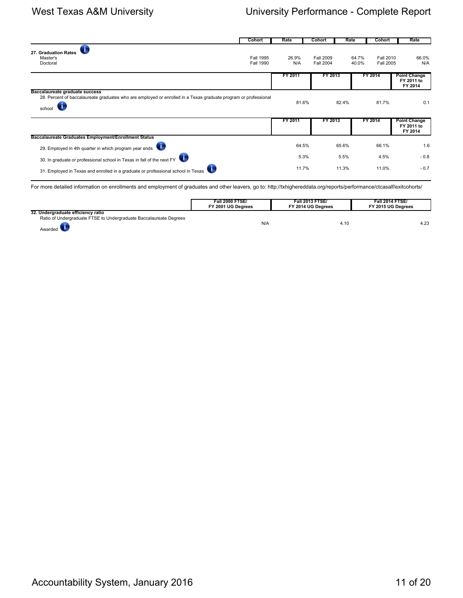|                                                                                                                                                             | <b>Cohort</b>                 | Rate         | <b>Cohort</b>                        | Rate  | <b>Cohort</b>                                          | Rate                                         |
|-------------------------------------------------------------------------------------------------------------------------------------------------------------|-------------------------------|--------------|--------------------------------------|-------|--------------------------------------------------------|----------------------------------------------|
| 27. Graduation Rates<br>Master's<br>Doctoral                                                                                                                | Fall 1995<br><b>Fall 1990</b> | 26.9%<br>N/A | <b>Fall 2009</b><br><b>Fall 2004</b> |       | <b>Fall 2010</b><br>64.7%<br>40.0%<br><b>Fall 2005</b> | 66.0%<br>N/A                                 |
|                                                                                                                                                             |                               | FY 2011      | FY 2013                              |       | FY 2014                                                | <b>Point Change</b><br>FY 2011 to<br>FY 2014 |
| Baccalaureate graduate success<br>28. Percent of baccalaureate graduates who are employed or enrolled in a Texas graduate program or professional<br>school |                               | 81.6%        |                                      | 82.4% | 81.7%                                                  | 0.1                                          |
|                                                                                                                                                             |                               | FY 2011      | FY 2013                              |       | FY 2014                                                | <b>Point Change</b><br>FY 2011 to<br>FY 2014 |
| Baccalaureate Graduates Employment/Enrollment Status                                                                                                        |                               |              |                                      |       |                                                        |                                              |
| 29. Employed in 4th quarter in which program year ends                                                                                                      |                               | 64.5%        |                                      | 65.6% | 66.1%                                                  | 1.6                                          |
| 30. In graduate or professional school in Texas in fall of the next FY                                                                                      |                               | 5.3%         |                                      | 5.5%  | 4.5%                                                   | $-0.8$                                       |
| 31. Employed in Texas and enrolled in a graduate or professional school in Texas                                                                            |                               | 11.7%        |                                      | 11.3% | 11.0%                                                  | $-0.7$                                       |

For more detailed information on enrollments and employment of graduates and other leavers, go to: http://txhighereddata.org/reports/performance/ctcasalf/exitcohorts/

|                                                                    | <b>Fall 2000 FTSE/</b><br>FY 2001 UG Dearees | <b>Fall 2013 FTSE/</b><br>FY 2014 UG Dearees | <b>Fall 2014 FTSE/</b><br>FY 2015 UG Dearees |
|--------------------------------------------------------------------|----------------------------------------------|----------------------------------------------|----------------------------------------------|
| 32. Undergraduate efficiency ratio                                 |                                              |                                              |                                              |
| Ratio of Undergraduate FTSE to Undergraduate Baccalaureate Degrees |                                              |                                              |                                              |
| Awarded                                                            | N/A                                          | 4.10                                         | 4.23                                         |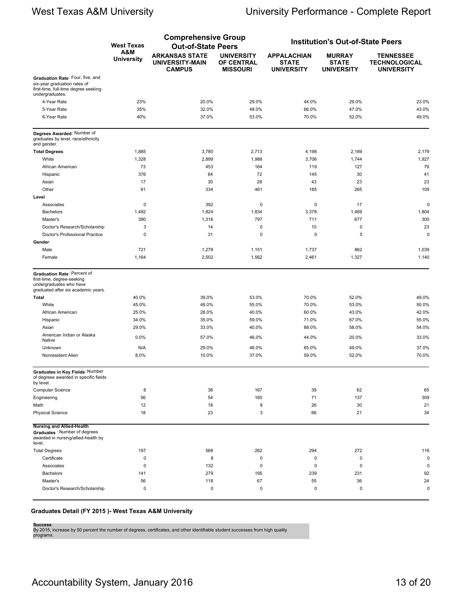|                                                                                                                             |                          | <b>Comprehensive Group</b>                                       |                                                    |                                                         |                                                    |                                                               |
|-----------------------------------------------------------------------------------------------------------------------------|--------------------------|------------------------------------------------------------------|----------------------------------------------------|---------------------------------------------------------|----------------------------------------------------|---------------------------------------------------------------|
|                                                                                                                             | <b>West Texas</b>        | <b>Out-of-State Peers</b>                                        |                                                    |                                                         | <b>Institution's Out-of-State Peers</b>            |                                                               |
|                                                                                                                             | A&M<br><b>University</b> | <b>ARKANSAS STATE</b><br><b>UNIVERSITY-MAIN</b><br><b>CAMPUS</b> | <b>UNIVERSITY</b><br>OF CENTRAL<br><b>MISSOURI</b> | <b>APPALACHIAN</b><br><b>STATE</b><br><b>UNIVERSITY</b> | <b>MURRAY</b><br><b>STATE</b><br><b>UNIVERSITY</b> | <b>TENNESSEE</b><br><b>TECHNOLOGICAL</b><br><b>UNIVERSITY</b> |
| Graduation Rate: Four, five, and<br>six-year graduation rates of<br>first-time, full-time degree seeking<br>undergraduates. |                          |                                                                  |                                                    |                                                         |                                                    |                                                               |
| 4-Year Rate                                                                                                                 | 23%                      | 20.0%                                                            | 29.0%                                              | 44.0%                                                   | 29.0%                                              | 23.0%                                                         |
| 5-Year Rate                                                                                                                 | 35%                      | 32.0%                                                            | 48.0%                                              | 66.0%                                                   | 47.0%                                              | 43.0%                                                         |
| 6-Year Rate                                                                                                                 | 40%                      | 37.0%                                                            | 53.0%                                              | 70.0%                                                   | 52.0%                                              | 49.0%                                                         |
| Degrees Awarded: Number of<br>graduates by level, race/ethnicity<br>and gender.                                             |                          |                                                                  |                                                    |                                                         |                                                    |                                                               |
| <b>Total Degrees</b>                                                                                                        | 1,885                    | 3,780                                                            | 2,713                                              | 4,198                                                   | 2,189                                              | 2,179                                                         |
| White                                                                                                                       | 1,328                    | 2,899                                                            | 1,988                                              | 3,706                                                   | 1,744                                              | 1,927                                                         |
| African American                                                                                                            | 73                       | 453                                                              | 164                                                | 119                                                     | 127                                                | 79                                                            |
| Hispanic                                                                                                                    | 376                      | 64                                                               | 72                                                 | 145                                                     | 30                                                 | 41                                                            |
| Asian                                                                                                                       | 17                       | 30                                                               | 28                                                 | 43                                                      | 23                                                 | 23                                                            |
| Other                                                                                                                       | 91                       | 334                                                              | 461                                                | 185                                                     | 265                                                | 109                                                           |
| Level                                                                                                                       |                          |                                                                  |                                                    |                                                         |                                                    |                                                               |
| Associates                                                                                                                  | 0                        | 392                                                              | 0                                                  | $\mathbf 0$                                             | 17                                                 | 0                                                             |
| <b>Bachelors</b>                                                                                                            | 1,492                    | 1,824                                                            | 1,834                                              | 3,378                                                   | 1,469                                              | 1,804                                                         |
| Master's                                                                                                                    | 390                      | 1,316                                                            | 797                                                | 711                                                     | 677                                                | 300                                                           |
| Doctor's Research/Scholarship                                                                                               | 3                        | 14                                                               | 0                                                  | 10                                                      | $\mathbf 0$                                        | 23                                                            |
| Doctor's Professional Practice                                                                                              | 0                        | 31                                                               | 0                                                  | 0                                                       | 5                                                  | 0                                                             |
| Gender                                                                                                                      |                          |                                                                  |                                                    |                                                         |                                                    |                                                               |
| Male                                                                                                                        | 721                      | 1,278                                                            | 1,151                                              | 1,737                                                   | 862                                                | 1,039                                                         |
| Female                                                                                                                      | 1,164                    | 2,502                                                            | 1,562                                              | 2,461                                                   | 1,327                                              | 1,140                                                         |
| Graduation Rate: Percent of<br>first-time, degree-seeking<br>undergraduates who have<br>graduated after six academic years. |                          |                                                                  |                                                    |                                                         |                                                    |                                                               |
| <b>Total</b>                                                                                                                | 40.0%                    | 39.0%                                                            | 53.0%                                              | 70.0%                                                   | 52.0%                                              | 49.0%                                                         |
| White                                                                                                                       | 45.0%                    | 48.0%                                                            | 55.0%                                              | 70.0%                                                   | 53.0%                                              | 50.0%                                                         |
| African American                                                                                                            | 25.0%                    | 28.0%                                                            | 40.0%                                              | 60.0%                                                   | 43.0%                                              | 42.0%                                                         |
| Hispanic                                                                                                                    | 34.0%                    | 35.0%                                                            | 59.0%                                              | 71.0%                                                   | 67.0%                                              | 55.0%                                                         |
| Asian                                                                                                                       | 29.0%                    | 33.0%                                                            | 40.0%                                              | 88.0%                                                   | 58.0%                                              | 54.0%                                                         |
| American Indian or Alaska<br>Native                                                                                         | 0.0%                     | 57.0%                                                            | 46.0%                                              | 44.0%                                                   | 20.0%                                              | 33.0%                                                         |
| Unknown                                                                                                                     | N/A                      | 29.0%                                                            | 46.0%                                              | 65.0%                                                   | 49.0%                                              | 37.0%                                                         |
| Nonresident Alien                                                                                                           | 8.0%                     | 10.0%                                                            | 37.0%                                              | 59.0%                                                   | 52.0%                                              | 70.0%                                                         |
| Graduates in Key Fields: Number<br>of degrees awarded in specific fields<br>by level.                                       |                          |                                                                  |                                                    |                                                         |                                                    |                                                               |
| Computer Science                                                                                                            | 6                        | 38                                                               | 167                                                | 39                                                      | 62                                                 | 65                                                            |
| Engineering                                                                                                                 | 56                       | 54                                                               | 165                                                | 71                                                      | 137                                                | 309                                                           |
| Math                                                                                                                        | 12                       | 18                                                               | 8                                                  | 26                                                      | 30                                                 | 21                                                            |
| <b>Physical Science</b>                                                                                                     | 18                       | 23                                                               | 3                                                  | 66                                                      | 21                                                 | 34                                                            |
| <b>Nursing and Allied-Health</b><br>Graduates: Number of degrees<br>awarded in nursing/allied-health by<br>level.           |                          |                                                                  |                                                    |                                                         |                                                    |                                                               |
| <b>Total Degrees</b>                                                                                                        | 197                      | 568                                                              | 262                                                | 294                                                     | 272                                                | 116                                                           |
| Certificate                                                                                                                 | 0                        | 8                                                                | $\pmb{0}$                                          | $\pmb{0}$                                               | $\pmb{0}$                                          | $\mathbf 0$                                                   |
| Associates                                                                                                                  | 0                        | 132                                                              | $\mathsf 0$                                        | $\mathbf 0$                                             | $\mathbf 0$                                        | 0                                                             |
| Bachelors                                                                                                                   | 141                      | 279                                                              | 195                                                | 239                                                     | 231                                                | 92                                                            |
| Master's                                                                                                                    | 56                       | 118                                                              | 67                                                 | 55                                                      | 36                                                 | 24                                                            |
| Doctor's Research/Scholarship                                                                                               | 0                        | 0                                                                | 0                                                  | $\pmb{0}$                                               | 0                                                  | $\pmb{0}$                                                     |

### **Graduates Detail (FY 2015 )- West Texas A&M University**

**Success**<br>By 2015, increase by 50 percent the number of degrees, certificates, and other identifiable student successes from high quality<br>programs.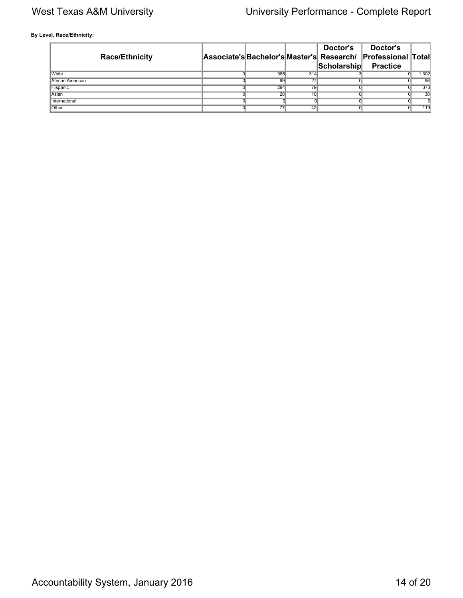**By Level, Race/Ethnicity:**

| <b>Race/Ethnicity</b> |                 |     | Doctor's<br>Scholarship | Doctor's<br>Associate's Bachelor's Master's Research/ Professional Total<br><b>Practice</b> |                  |
|-----------------------|-----------------|-----|-------------------------|---------------------------------------------------------------------------------------------|------------------|
| <b>White</b>          | 985             | 314 |                         |                                                                                             | 1,302            |
| African American      | 69              | 27  |                         |                                                                                             | $\overline{96}$  |
| Hispanic              | 294             | 79  |                         |                                                                                             | $\overline{373}$ |
| Asian                 | $\overline{28}$ | 10  |                         |                                                                                             | 38               |
| International         |                 |     |                         |                                                                                             |                  |
| Other                 | 77              | 42  |                         |                                                                                             | 119              |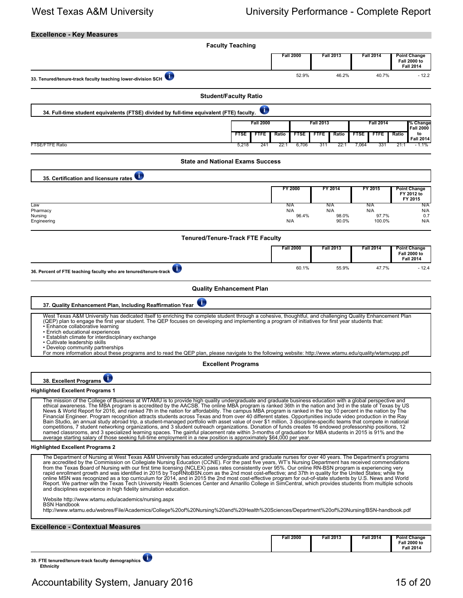| <b>Excellence - Key Measures</b>                                                                                                                                                                                                                                                                                                                                                                                                                                                                                                                                                                                                                                                                                                                                                                                                                                                                                                                                                                                                                                                                                                                                                                                                                             |                                 |                      |                      |                            |                                                                |
|--------------------------------------------------------------------------------------------------------------------------------------------------------------------------------------------------------------------------------------------------------------------------------------------------------------------------------------------------------------------------------------------------------------------------------------------------------------------------------------------------------------------------------------------------------------------------------------------------------------------------------------------------------------------------------------------------------------------------------------------------------------------------------------------------------------------------------------------------------------------------------------------------------------------------------------------------------------------------------------------------------------------------------------------------------------------------------------------------------------------------------------------------------------------------------------------------------------------------------------------------------------|---------------------------------|----------------------|----------------------|----------------------------|----------------------------------------------------------------|
|                                                                                                                                                                                                                                                                                                                                                                                                                                                                                                                                                                                                                                                                                                                                                                                                                                                                                                                                                                                                                                                                                                                                                                                                                                                              | <b>Faculty Teaching</b>         |                      |                      |                            |                                                                |
|                                                                                                                                                                                                                                                                                                                                                                                                                                                                                                                                                                                                                                                                                                                                                                                                                                                                                                                                                                                                                                                                                                                                                                                                                                                              |                                 | <b>Fall 2000</b>     | <b>Fall 2013</b>     | <b>Fall 2014</b>           | <b>Point Change</b><br><b>Fall 2000 to</b><br><b>Fall 2014</b> |
| $\overline{\mathbf{C}}$<br>33. Tenured/tenure-track faculty teaching lower-division SCH                                                                                                                                                                                                                                                                                                                                                                                                                                                                                                                                                                                                                                                                                                                                                                                                                                                                                                                                                                                                                                                                                                                                                                      |                                 | 52.9%                | 46.2%                | 40.7%                      | $-12.2$                                                        |
|                                                                                                                                                                                                                                                                                                                                                                                                                                                                                                                                                                                                                                                                                                                                                                                                                                                                                                                                                                                                                                                                                                                                                                                                                                                              | <b>Student/Faculty Ratio</b>    |                      |                      |                            |                                                                |
| 34. Full-time student equivalents (FTSE) divided by full-time equivalent (FTE) faculty.                                                                                                                                                                                                                                                                                                                                                                                                                                                                                                                                                                                                                                                                                                                                                                                                                                                                                                                                                                                                                                                                                                                                                                      | ī                               |                      |                      |                            |                                                                |
|                                                                                                                                                                                                                                                                                                                                                                                                                                                                                                                                                                                                                                                                                                                                                                                                                                                                                                                                                                                                                                                                                                                                                                                                                                                              | <b>Fall 2000</b>                |                      | <b>Fall 2013</b>     | <b>Fall 2014</b>           | % Change<br><b>Fall 2000</b>                                   |
|                                                                                                                                                                                                                                                                                                                                                                                                                                                                                                                                                                                                                                                                                                                                                                                                                                                                                                                                                                                                                                                                                                                                                                                                                                                              | <b>FTSE</b><br>FTFE             | <b>FTSE</b><br>Ratio | Ratio<br><b>FTFE</b> | <b>FTSE</b><br><b>FTFE</b> | to<br>Ratio<br><b>Fall 2014</b>                                |
| <b>FTSE/FTFE Ratio</b>                                                                                                                                                                                                                                                                                                                                                                                                                                                                                                                                                                                                                                                                                                                                                                                                                                                                                                                                                                                                                                                                                                                                                                                                                                       | 5,218<br>241                    | 22:1<br>6,706        | 311<br>22:1          | 331<br>7,064               | 21:1<br>1.1%                                                   |
| <b>State and National Exams Success</b>                                                                                                                                                                                                                                                                                                                                                                                                                                                                                                                                                                                                                                                                                                                                                                                                                                                                                                                                                                                                                                                                                                                                                                                                                      |                                 |                      |                      |                            |                                                                |
| O<br>35. Certification and licensure rates                                                                                                                                                                                                                                                                                                                                                                                                                                                                                                                                                                                                                                                                                                                                                                                                                                                                                                                                                                                                                                                                                                                                                                                                                   |                                 |                      |                      |                            |                                                                |
|                                                                                                                                                                                                                                                                                                                                                                                                                                                                                                                                                                                                                                                                                                                                                                                                                                                                                                                                                                                                                                                                                                                                                                                                                                                              |                                 | FY 2000              | FY 2014              | FY 2015                    | <b>Point Change</b><br>FY 2012 to<br>FY 2015                   |
| Law<br>Pharmacy                                                                                                                                                                                                                                                                                                                                                                                                                                                                                                                                                                                                                                                                                                                                                                                                                                                                                                                                                                                                                                                                                                                                                                                                                                              |                                 | N/A<br>N/A           | N/A<br>N/A           | N/A<br>N/A                 | N/A<br>N/A                                                     |
| Nursing<br>Engineering                                                                                                                                                                                                                                                                                                                                                                                                                                                                                                                                                                                                                                                                                                                                                                                                                                                                                                                                                                                                                                                                                                                                                                                                                                       |                                 | 96.4%<br>N/A         | 98.0%<br>90.0%       | 97.7%<br>100.0%            | 0.7<br>N/A                                                     |
| <b>Tenured/Tenure-Track FTE Faculty</b>                                                                                                                                                                                                                                                                                                                                                                                                                                                                                                                                                                                                                                                                                                                                                                                                                                                                                                                                                                                                                                                                                                                                                                                                                      |                                 |                      |                      |                            |                                                                |
|                                                                                                                                                                                                                                                                                                                                                                                                                                                                                                                                                                                                                                                                                                                                                                                                                                                                                                                                                                                                                                                                                                                                                                                                                                                              |                                 | <b>Fall 2000</b>     | <b>Fall 2013</b>     | <b>Fall 2014</b>           | <b>Point Change</b><br><b>Fall 2000 to</b>                     |
|                                                                                                                                                                                                                                                                                                                                                                                                                                                                                                                                                                                                                                                                                                                                                                                                                                                                                                                                                                                                                                                                                                                                                                                                                                                              |                                 | 60.1%                | 55.9%                | 47.7%                      | <b>Fall 2014</b><br>$-12.4$                                    |
| 36. Percent of FTE teaching faculty who are tenured/tenure-track                                                                                                                                                                                                                                                                                                                                                                                                                                                                                                                                                                                                                                                                                                                                                                                                                                                                                                                                                                                                                                                                                                                                                                                             |                                 |                      |                      |                            |                                                                |
|                                                                                                                                                                                                                                                                                                                                                                                                                                                                                                                                                                                                                                                                                                                                                                                                                                                                                                                                                                                                                                                                                                                                                                                                                                                              | <b>Quality Enhancement Plan</b> |                      |                      |                            |                                                                |
| T<br>37. Quality Enhancement Plan, Including Reaffirmation Year                                                                                                                                                                                                                                                                                                                                                                                                                                                                                                                                                                                                                                                                                                                                                                                                                                                                                                                                                                                                                                                                                                                                                                                              |                                 |                      |                      |                            |                                                                |
| West Texas A&M University has dedicated itself to enriching the complete student through a cohesive, thoughtful, and challenging Quality Enhancement Plan<br>(QEP) plan to engage the first year student. The QEP focuses on developing and implementing a program of initiatives for first year students that:<br>· Enhance collaborative learning<br>• Enrich educational experiences<br>• Establish climate for interdisciplinary exchange<br>• Cultivate leadership skills<br>• Develop community partnerships<br>For more information about these programs and to read the QEP plan, please navigate to the following website: http://www.wtamu.edu/quality/wtamuqep.pdf                                                                                                                                                                                                                                                                                                                                                                                                                                                                                                                                                                                |                                 |                      |                      |                            |                                                                |
|                                                                                                                                                                                                                                                                                                                                                                                                                                                                                                                                                                                                                                                                                                                                                                                                                                                                                                                                                                                                                                                                                                                                                                                                                                                              | <b>Excellent Programs</b>       |                      |                      |                            |                                                                |
| $\blacklozenge$<br>38. Excellent Programs                                                                                                                                                                                                                                                                                                                                                                                                                                                                                                                                                                                                                                                                                                                                                                                                                                                                                                                                                                                                                                                                                                                                                                                                                    |                                 |                      |                      |                            |                                                                |
| <b>Highlighted Excellent Programs 1</b>                                                                                                                                                                                                                                                                                                                                                                                                                                                                                                                                                                                                                                                                                                                                                                                                                                                                                                                                                                                                                                                                                                                                                                                                                      |                                 |                      |                      |                            |                                                                |
| The mission of the College of Business at WTAMU is to provide high guality undergraduate and graduate business education with a global perspective and<br>ethical awareness. The MBA program is accredited by the AACSB. The online MBA program is ranked 36th in the nation and 3rd in the state of Texas by US<br>News & World Report for 2016, and ranked 7th in the nation for affordability. The campus MBA program is ranked in the top 10 percent in the nation by The<br>Financial Engineer. Program recognition attracts students across Texas and from over 40 different states. Opportunities include video production in the Ray<br>Bain Studio, an annual study abroad trip, a student-managed portfolio with asset value of over \$1 million, 3 discipline-specific teams that compete in national<br>competitions, 7 student networking organizations, and 3 student outreach organizations. Donation of funds creates 16 endowed professorship positions, 12<br>named classrooms, and 3 specialized learning spaces. The gainful placement rate within 3-months of graduation for MBA students in 2015 is 91% and the<br>average starting salary of those seeking full-time employment in a new position is approximately \$64,000 per year. |                                 |                      |                      |                            |                                                                |
| <b>Highlighted Excellent Programs 2</b>                                                                                                                                                                                                                                                                                                                                                                                                                                                                                                                                                                                                                                                                                                                                                                                                                                                                                                                                                                                                                                                                                                                                                                                                                      |                                 |                      |                      |                            |                                                                |
| The Department of Nursing at West Texas A&M University has educated undergraduate and graduate nurses for over 40 years. The Department's programs<br>are accredited by the Commission on Collegiate Nursing Education (CCNE). For the past five years, WT's Nursing Department has received commendations<br>from the Texas Board of Nursing with our first time licensing (NCLEX) pass rates consistently over 95%. Our online RN-BSN program is experiencing very<br>rapid enrollment growth and was identified in 2015 by TopRNtoBSN.com as the 2nd most cost-effective; and 37th in quality for the United States; while the<br>online MSN was recognized as a top curriculum for 2014, and in 2015 the 2nd most cost-effective program for out-of-state students by U.S. News and World<br>Report. We partner with the Texas Tech University Health Sciences Center and Amarillo College in SimCentral, which provides students from multiple schools<br>and disciplines experience in high fidelity simulation education.                                                                                                                                                                                                                             |                                 |                      |                      |                            |                                                                |
| Website http://www.wtamu.edu/academics/nursing.aspx<br><b>BSN Handbook</b><br>http://www.wtamu.edu/webres/File/Academics/College%20of%20Nursing%20and%20Health%20Sciences/Department%20of%20Nursing/BSN-handbook.pdf                                                                                                                                                                                                                                                                                                                                                                                                                                                                                                                                                                                                                                                                                                                                                                                                                                                                                                                                                                                                                                         |                                 |                      |                      |                            |                                                                |
| <b>Excellence - Contextual Measures</b>                                                                                                                                                                                                                                                                                                                                                                                                                                                                                                                                                                                                                                                                                                                                                                                                                                                                                                                                                                                                                                                                                                                                                                                                                      |                                 |                      |                      |                            |                                                                |
|                                                                                                                                                                                                                                                                                                                                                                                                                                                                                                                                                                                                                                                                                                                                                                                                                                                                                                                                                                                                                                                                                                                                                                                                                                                              |                                 | <b>Fall 2000</b>     | <b>Fall 2013</b>     | <b>Fall 2014</b>           | <b>Point Change</b><br><b>Fall 2000 to</b><br><b>Fall 2014</b> |
|                                                                                                                                                                                                                                                                                                                                                                                                                                                                                                                                                                                                                                                                                                                                                                                                                                                                                                                                                                                                                                                                                                                                                                                                                                                              |                                 |                      |                      |                            |                                                                |

**39. FTE tenured/tenure-track faculty demographics Ethnicity**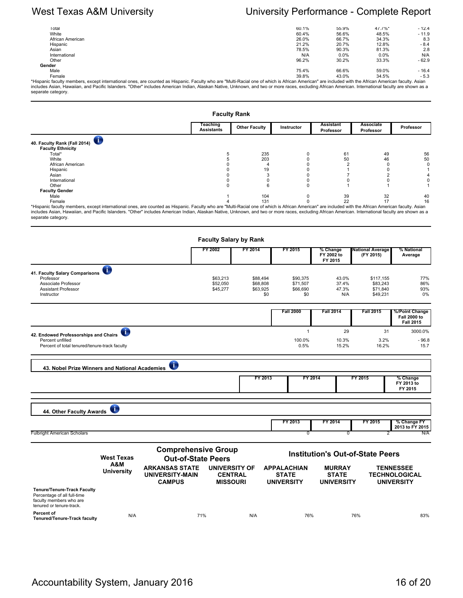| Total                                                                                                                                                                                               | 60.1% | 55.9%   | 47.7%* | $-12.4$ |
|-----------------------------------------------------------------------------------------------------------------------------------------------------------------------------------------------------|-------|---------|--------|---------|
| White                                                                                                                                                                                               | 60.4% | 56.6%   | 48.5%  | $-11.9$ |
| African American                                                                                                                                                                                    | 26.0% | 66.7%   | 34.3%  | 8.3     |
| Hispanic                                                                                                                                                                                            | 21.2% | 20.7%   | 12.8%  | $-8.4$  |
| Asian                                                                                                                                                                                               | 78.5% | 90.3%   | 81.3%  | 2.8     |
| International                                                                                                                                                                                       | N/A   | $0.0\%$ | 0.0%   | N/A     |
| Other                                                                                                                                                                                               | 96.2% | 30.2%   | 33.3%  | $-62.9$ |
| Gender                                                                                                                                                                                              |       |         |        |         |
| Male                                                                                                                                                                                                | 75.4% | 66.6%   | 59.0%  | $-16.4$ |
| Female                                                                                                                                                                                              | 39.8% | 43.0%   | 34.5%  | $-5.3$  |
| Hispanic faculty members, except international ones, are counted as Hispanic. Faculty who are "Multi-Racial one of which is African American" are included with the African American faculty. Asian |       |         |        |         |
|                                                                                                                                                                                                     |       |         |        |         |

\*Hispanic faculty members, except international ones, are counted as Hispanic. Faculty who are "Multi-Racial one of which is African American" are included with the African American faculty. Asian<br>includes Asian, Hawaiian,

|                                                                                                                                                                                                      |                               | <b>Faculty Rank</b>  |            |                        |                        |           |
|------------------------------------------------------------------------------------------------------------------------------------------------------------------------------------------------------|-------------------------------|----------------------|------------|------------------------|------------------------|-----------|
|                                                                                                                                                                                                      | Teaching<br><b>Assistants</b> | <b>Other Faculty</b> | Instructor | Assistant<br>Professor | Associate<br>Professor | Professor |
| 40. Faculty Rank (Fall 2014)                                                                                                                                                                         |                               |                      |            |                        |                        |           |
| <b>Faculty Ethnicity</b>                                                                                                                                                                             |                               |                      |            |                        |                        |           |
| Total*                                                                                                                                                                                               |                               | 235                  |            | 61                     | 49                     | 56        |
| White                                                                                                                                                                                                |                               | 203                  |            | 50                     | 46                     | 50        |
| African American                                                                                                                                                                                     |                               |                      |            |                        |                        |           |
| Hispanic                                                                                                                                                                                             |                               |                      |            |                        |                        |           |
| Asian                                                                                                                                                                                                |                               |                      |            |                        |                        |           |
| International                                                                                                                                                                                        |                               |                      |            |                        |                        |           |
| Other                                                                                                                                                                                                |                               |                      |            |                        |                        |           |
| <b>Faculty Gender</b>                                                                                                                                                                                |                               |                      |            |                        |                        |           |
| Male                                                                                                                                                                                                 |                               | 104                  |            | 39                     | 32                     | 40        |
| Female                                                                                                                                                                                               |                               | 131                  |            | 22                     |                        | 16        |
| *Hispanic faculty members, except international ones, are counted as Hispanic. Faculty who are "Multi-Racial one of which is African American" are included with the African American faculty. Asian |                               |                      |            |                        |                        |           |
| includes Asian, Hawaiian, and Pacific Islanders. "Other" includes American Indian, Alaskan Native, Unknown, and two or more races, excluding African American. International faculty are shown as a  |                               |                      |            |                        |                        |           |

separate category.

|                                                                                                                                                                |                          |                                                                  |                           | <b>Faculty Salary by Rank</b>                             |          |                                                         |                                                    |                                         |                                                               |
|----------------------------------------------------------------------------------------------------------------------------------------------------------------|--------------------------|------------------------------------------------------------------|---------------------------|-----------------------------------------------------------|----------|---------------------------------------------------------|----------------------------------------------------|-----------------------------------------|---------------------------------------------------------------|
|                                                                                                                                                                |                          |                                                                  | FY 2002                   | FY 2014                                                   |          | FY 2015                                                 | % Change<br>FY 2002 to<br>FY 2015                  | <b>National Average</b><br>(FY 2015)    | % National<br>Average                                         |
| 41. Faculty Salary Comparisons                                                                                                                                 | O                        |                                                                  |                           |                                                           |          |                                                         |                                                    |                                         |                                                               |
| Professor                                                                                                                                                      |                          |                                                                  | \$63,213                  |                                                           | \$88,494 | \$90.375                                                | 43.0%                                              | \$117.155                               | 77%                                                           |
| Associate Professor                                                                                                                                            |                          |                                                                  | \$52,050                  |                                                           | \$68,808 | \$71,507                                                | 37.4%                                              | \$83.243                                | 86%                                                           |
| <b>Assistant Professor</b>                                                                                                                                     |                          |                                                                  | \$45,277                  |                                                           | \$63,925 | \$66,690                                                | 47.3%                                              | \$71,840                                | 93%                                                           |
| Instructor                                                                                                                                                     |                          |                                                                  |                           |                                                           | \$0      | \$0                                                     | N/A                                                | \$49,231                                | 0%                                                            |
|                                                                                                                                                                |                          |                                                                  |                           |                                                           |          | <b>Fall 2000</b>                                        | <b>Fall 2014</b>                                   | <b>Fall 2015</b>                        | %/Point Change<br><b>Fall 2000 to</b><br><b>Fall 2015</b>     |
|                                                                                                                                                                | Œ                        |                                                                  |                           |                                                           |          | $\mathbf{1}$                                            | 29                                                 | 31                                      | 3000.0%                                                       |
| 42. Endowed Professorships and Chairs                                                                                                                          |                          |                                                                  |                           |                                                           |          |                                                         |                                                    |                                         |                                                               |
| Percent unfilled<br>Percent of total tenured/tenure-track faculty                                                                                              |                          |                                                                  |                           |                                                           |          | 100.0%<br>0.5%                                          | 10.3%<br>15.2%                                     | 3.2%<br>16.2%                           | $-96.8$<br>15.7                                               |
|                                                                                                                                                                |                          |                                                                  |                           |                                                           | FY 2013  |                                                         | FY 2014                                            | FY 2015                                 | % Change<br>FY 2013 to                                        |
| 44. Other Faculty Awards                                                                                                                                       | Œ                        |                                                                  |                           |                                                           |          |                                                         |                                                    |                                         | FY 2015                                                       |
|                                                                                                                                                                |                          |                                                                  |                           |                                                           |          | FY 2013                                                 | FY 2014                                            | FY 2015                                 | % Change FY<br>2013 to FY 2015                                |
|                                                                                                                                                                |                          |                                                                  |                           |                                                           |          | ᢐ                                                       | 0                                                  |                                         | N/A                                                           |
|                                                                                                                                                                | <b>West Texas</b>        | <b>Comprehensive Group</b>                                       | <b>Out-of-State Peers</b> |                                                           |          |                                                         |                                                    | <b>Institution's Out-of-State Peers</b> |                                                               |
|                                                                                                                                                                | A&M<br><b>University</b> | <b>ARKANSAS STATE</b><br><b>UNIVERSITY-MAIN</b><br><b>CAMPUS</b> |                           | <b>UNIVERSITY OF</b><br><b>CENTRAL</b><br><b>MISSOURI</b> |          | <b>APPALACHIAN</b><br><b>STATE</b><br><b>UNIVERSITY</b> | <b>MURRAY</b><br><b>STATE</b><br><b>UNIVERSITY</b> |                                         | <b>TENNESSEE</b><br><b>TECHNOLOGICAL</b><br><b>UNIVERSITY</b> |
| <b>Fulbright American Scholars</b><br><b>Tenure/Tenure-Track Faculty</b><br>Percentage of all full-time<br>faculty members who are<br>tenured or tenure-track. |                          |                                                                  |                           |                                                           |          |                                                         |                                                    |                                         |                                                               |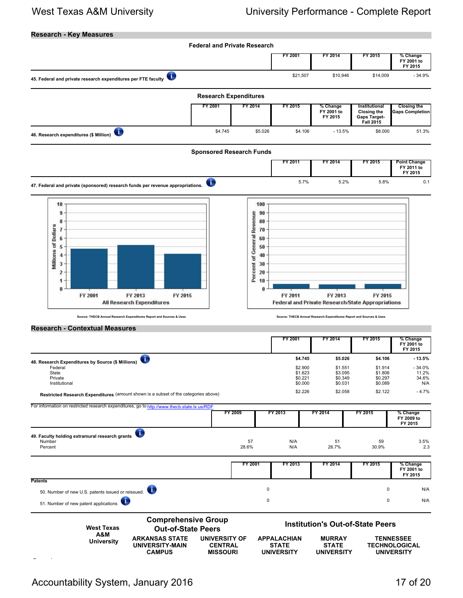## **Research - Key Measures**

|                                                                                                                                                                                                    |                                                                                                                               | <b>Federal and Private Research</b>                                             |                                                         |                                                                                 |                                                                         |                                                               |
|----------------------------------------------------------------------------------------------------------------------------------------------------------------------------------------------------|-------------------------------------------------------------------------------------------------------------------------------|---------------------------------------------------------------------------------|---------------------------------------------------------|---------------------------------------------------------------------------------|-------------------------------------------------------------------------|---------------------------------------------------------------|
|                                                                                                                                                                                                    |                                                                                                                               |                                                                                 | FY 2001                                                 | FY 2014                                                                         | FY 2015                                                                 | % Change<br>FY 2001 to<br>FY 2015                             |
| 45. Federal and private research expenditures per FTE faculty                                                                                                                                      | Ō                                                                                                                             |                                                                                 | \$21,507                                                | \$10,946                                                                        | \$14,009                                                                | $-34.9%$                                                      |
|                                                                                                                                                                                                    |                                                                                                                               | <b>Research Expenditures</b>                                                    |                                                         |                                                                                 |                                                                         |                                                               |
|                                                                                                                                                                                                    | <b>FY 2001</b>                                                                                                                | <b>FY 2014</b>                                                                  | FY 2015                                                 | % Change<br>FY 2001 to<br>FY 2015                                               | Institutional<br><b>Closing the</b><br>Gaps Target-<br><b>Fall 2015</b> | <b>Closing the</b><br><b>Gaps Completion</b>                  |
| O<br>46. Research expenditures (\$ Million)                                                                                                                                                        | \$4.745                                                                                                                       | \$5.026                                                                         | \$4.106                                                 | $-13.5%$                                                                        | \$8.000                                                                 | 51.3%                                                         |
|                                                                                                                                                                                                    |                                                                                                                               | <b>Sponsored Research Funds</b>                                                 |                                                         |                                                                                 |                                                                         |                                                               |
|                                                                                                                                                                                                    |                                                                                                                               |                                                                                 | FY 2011                                                 | FY 2014                                                                         | <b>FY 2015</b>                                                          | <b>Point Change</b><br>FY 2011 to<br>FY 2015                  |
| 47. Federal and private (sponsored) research funds per revenue appropriations.                                                                                                                     | O                                                                                                                             |                                                                                 | 5.7%                                                    | 5.2%                                                                            | 5.8%                                                                    | 0.1                                                           |
| 8<br><b>Millions of Dollars</b><br>7<br>6<br>5<br>4<br>3<br>2<br>1<br>0<br>FY 2001<br>FY 2013<br>All Research Expenditures<br>Source: THECB Annual Research Expenditures Report and Sources & Uses | FY 2015                                                                                                                       | Percent of General Revenue<br>80<br>70<br>60<br>50<br>40<br>30<br>20<br>10<br>0 | FY 2011                                                 | FY 2013<br>Source: THECB Annual Research Expenditures Report and Sources & Uses | FY 2015<br>Federal and Private Research/State Appropriations            |                                                               |
| <b>Research - Contextual Measures</b>                                                                                                                                                              |                                                                                                                               |                                                                                 | FY 2001                                                 | FY 2014                                                                         | <b>FY 2015</b>                                                          | % Change<br>FY 2001 to                                        |
|                                                                                                                                                                                                    |                                                                                                                               |                                                                                 | \$4.745                                                 | \$5.026                                                                         | \$4.106                                                                 | FY 2015<br>$-13.5%$                                           |
| đ,<br>48. Research Expenditures by Source (\$ Millions)<br>Federal<br>State<br>Private<br>Institutional<br>Restricted Research Expenditures (amount shown is a subset of the categories above)     |                                                                                                                               |                                                                                 | \$2.900<br>\$1.623<br>\$0.221<br>\$0.000<br>\$2.226     | \$1.551<br>\$3.095<br>\$0.349<br>\$0.031<br>\$2.058                             | \$1.914<br>\$1.806<br>\$0.297<br>\$0.089<br>\$2.122                     | $-34.0%$<br>11.2%<br>34.6%<br>N/A<br>$-4.7%$                  |
| For information on restricted research expenditures, go to http://www.thecb.state.tx.us/RDF                                                                                                        |                                                                                                                               | FY 2009                                                                         | FY 2013                                                 | FY 2014                                                                         | FY 2015                                                                 | % Change<br>FY 2009 to<br>FY 2015                             |
| O<br>49. Faculty holding extramural research grants<br>Number<br>Percent                                                                                                                           |                                                                                                                               | 57<br>28.6%                                                                     | N/A<br>N/A                                              | 51<br>26.7%                                                                     | 59<br>30.9%                                                             | 3.5%<br>2.3                                                   |
|                                                                                                                                                                                                    |                                                                                                                               | <b>FY 2001</b>                                                                  | FY 2013                                                 | FY 2014                                                                         | FY 2015                                                                 | % Change<br>FY 2001 to<br>FY 2015                             |
| <b>Patents</b>                                                                                                                                                                                     |                                                                                                                               | 0                                                                               |                                                         |                                                                                 | $\mathsf 0$                                                             | N/A                                                           |
| 50. Number of new U.S. patents issued or reissued.<br>51. Number of new patent applications                                                                                                        |                                                                                                                               | $\pmb{0}$                                                                       |                                                         |                                                                                 | 0                                                                       | N/A                                                           |
| <b>West Texas</b>                                                                                                                                                                                  | <b>Comprehensive Group</b><br><b>Out-of-State Peers</b>                                                                       |                                                                                 |                                                         |                                                                                 | <b>Institution's Out-of-State Peers</b>                                 |                                                               |
| A&M<br><b>University</b>                                                                                                                                                                           | <b>ARKANSAS STATE</b><br><b>UNIVERSITY OF</b><br><b>UNIVERSITY-MAIN</b><br><b>CENTRAL</b><br><b>CAMPUS</b><br><b>MISSOURI</b> |                                                                                 | <b>APPALACHIAN</b><br><b>STATE</b><br><b>UNIVERSITY</b> | <b>MURRAY</b><br><b>STATE</b><br><b>UNIVERSITY</b>                              |                                                                         | <b>TENNESSEE</b><br><b>TECHNOLOGICAL</b><br><b>UNIVERSITY</b> |

**Research**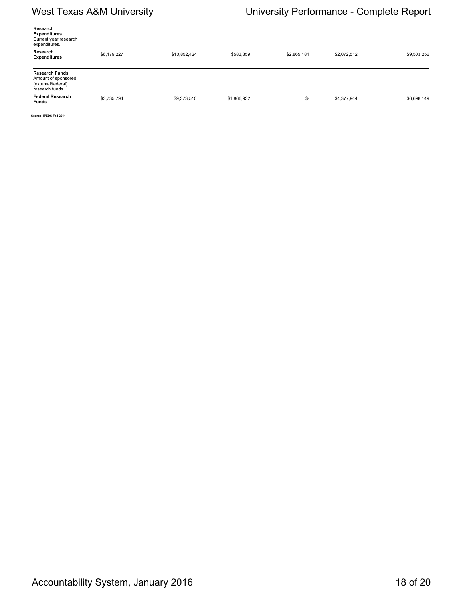# West Texas A&M University **National Mest Texas A&M University Complete Report**

| Research<br><b>Expenditures</b><br>Current year research<br>expenditures.             |             |              |             |             |             |             |
|---------------------------------------------------------------------------------------|-------------|--------------|-------------|-------------|-------------|-------------|
| Research<br><b>Expenditures</b>                                                       | \$6,179,227 | \$10,852,424 | \$583,359   | \$2,865,181 | \$2,072,512 | \$9,503,256 |
| <b>Research Funds</b><br>Amount of sponsored<br>(external/federal)<br>research funds. |             |              |             |             |             |             |
| <b>Federal Research</b><br><b>Funds</b>                                               | \$3,735,794 | \$9,373,510  | \$1,866,932 | \$-         | \$4,377,944 | \$6,698,149 |

**Source: IPEDS Fall 2014**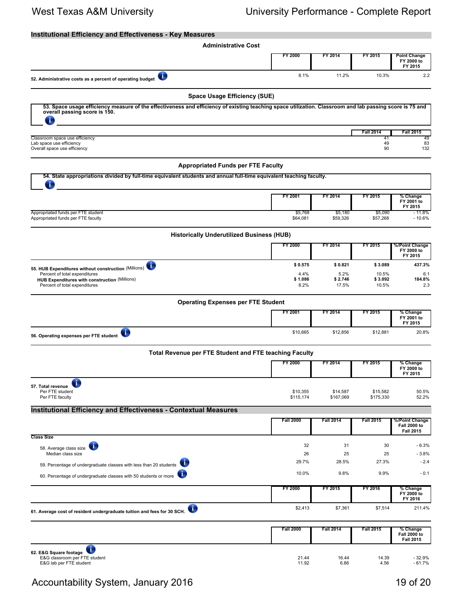## **Institutional Efficiency and Effectiveness - Key Measures**

| <b>Administrative Cost</b>                                                                                                                                                                     |                         |                          |                           |                                                     |
|------------------------------------------------------------------------------------------------------------------------------------------------------------------------------------------------|-------------------------|--------------------------|---------------------------|-----------------------------------------------------|
|                                                                                                                                                                                                | <b>FY 2000</b>          | FY 2014                  | FY 2015                   | <b>Point Change</b><br>FY 2000 to<br>FY 2015        |
| O<br>52. Administrative costs as a percent of operating budget                                                                                                                                 | 8.1%                    | 11.2%                    | 10.3%                     | 2.2                                                 |
| <b>Space Usage Efficiency (SUE)</b>                                                                                                                                                            |                         |                          |                           |                                                     |
| 53. Space usage efficiency measure of the effectiveness and efficiency of existing teaching space utilization. Classroom and lab passing score is 75 and<br>overall passing score is 150.<br>Œ |                         |                          |                           |                                                     |
|                                                                                                                                                                                                |                         |                          | <b>Fall 2014</b>          | <b>Fall 2015</b>                                    |
| Classroom space use efficiency<br>Lab space use efficiency<br>Overall space use efficiency                                                                                                     |                         |                          | 41<br>49<br>90            | 49<br>83<br>132                                     |
| <b>Appropriated Funds per FTE Faculty</b>                                                                                                                                                      |                         |                          |                           |                                                     |
| 54. State appropriations divided by full-time equivalent students and annual full-time equivalent teaching faculty.<br>т                                                                       |                         |                          |                           |                                                     |
|                                                                                                                                                                                                | FY 2001                 | FY 2014                  | FY 2015                   | % Change<br>FY 2001 to<br>FY 2015                   |
| Appropriated funds per FTE student<br>Appropriated funds per FTE faculty                                                                                                                       | \$5,768<br>\$64,081     | \$5,180<br>\$59,326      | \$5,090<br>\$57,268       | $-11.8%$<br>$-10.6%$                                |
| <b>Historically Underutilized Business (HUB)</b>                                                                                                                                               |                         |                          |                           |                                                     |
|                                                                                                                                                                                                | FY 2000                 | FY 2014                  | FY 2015                   | %/Point Change<br>FY 2000 to<br>FY 2015             |
| ī.<br>55. HUB Expenditures without construction (Millions)                                                                                                                                     | \$0.575                 | \$0.821                  | \$3.089                   | 437.3%                                              |
| Percent of total expenditures<br>HUB Expenditures with construction (Millions)<br>Percent of total expenditures                                                                                | 4.4%<br>\$1.086<br>8.2% | 5.2%<br>\$2.746<br>17.5% | 10.5%<br>\$3.092<br>10.5% | 6.1<br>184.8%<br>2.3                                |
| <b>Operating Expenses per FTE Student</b>                                                                                                                                                      |                         |                          |                           |                                                     |
|                                                                                                                                                                                                | FY 2001                 | FY 2014                  | FY 2015                   | % Change<br>FY 2001 to<br>FY 2015                   |
| O<br>56. Operating expenses per FTE student                                                                                                                                                    | \$10,665                | \$12,856                 | \$12,881                  | 20.8%                                               |
| Total Revenue per FTE Student and FTE teaching Faculty                                                                                                                                         |                         |                          |                           |                                                     |
|                                                                                                                                                                                                | FY 2000                 | FY 2014                  | FY 2015                   | % Change<br>FY 2000 to<br>FY 2015                   |
| 57. Total revenue<br>Per FTE student                                                                                                                                                           | \$10,355                | \$14,587                 | \$15,582                  | 50.5%                                               |
| Per FTE faculty                                                                                                                                                                                | \$115,174               | \$167,069                | \$175,330                 | 52.2%                                               |
| <b>Institutional Efficiency and Effectiveness - Contextual Measures</b>                                                                                                                        | <b>Fall 2000</b>        | <b>Fall 2014</b>         | <b>Fall 2015</b>          | %/Point Change                                      |
|                                                                                                                                                                                                |                         |                          |                           | <b>Fall 2000 to</b><br><b>Fall 2015</b>             |
| <b>Class Size</b><br>T.<br>58. Average class size                                                                                                                                              | 32                      | 31                       | 30                        | $-6.3%$                                             |
| Median class size                                                                                                                                                                              | 26                      | 25                       | 25                        | $-3.8%$                                             |
| 59. Percentage of undergraduate classes with less than 20 students                                                                                                                             | 29.7%                   | 28.5%                    | 27.3%                     | $-2.4$                                              |
| 60. Percentage of undergraduate classes with 50 students or more                                                                                                                               | 10.0%                   | 9.8%                     | 9.9%                      | $-0.1$                                              |
|                                                                                                                                                                                                | <b>FY 2000</b>          | FY 2015                  | FY 2016                   | % Change<br>FY 2000 to<br>FY 2016                   |
| O<br>61. Average cost of resident undergraduate tuition and fees for 30 SCH.                                                                                                                   | \$2,413                 | \$7,361                  | \$7,514                   | 211.4%                                              |
|                                                                                                                                                                                                | <b>Fall 2000</b>        | <b>Fall 2014</b>         | <b>Fall 2015</b>          | % Change<br><b>Fall 2000 to</b><br><b>Fall 2015</b> |
| $\overline{\mathbf{C}}$<br>62. E&G Square footage<br>E&G classroom per FTE student<br>E&G lab per FTE student                                                                                  | 21.44<br>11.92          | 16.44<br>6.86            | 14.39<br>4.56             | $-32.9%$<br>$-61.7%$                                |

Accountability System, January 2016 19 of 20 and 20 and 20 and 20 and 20 and 20 and 20 and 20 and 20